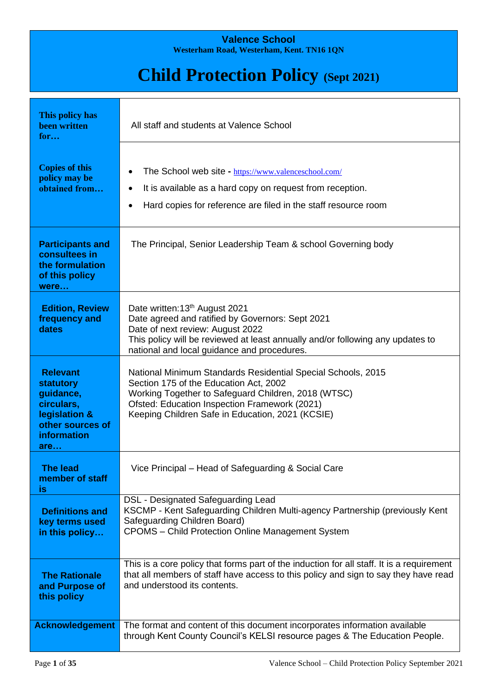### **Valence School Westerham Road, Westerham, Kent. TN16 1QN**

# **Child Protection Policy (Sept 2021)**

| This policy has<br><b>been written</b><br>for                                                                             | All staff and students at Valence School                                                                                                                                                                                                                           |
|---------------------------------------------------------------------------------------------------------------------------|--------------------------------------------------------------------------------------------------------------------------------------------------------------------------------------------------------------------------------------------------------------------|
| <b>Copies of this</b><br>policy may be<br>obtained from                                                                   | The School web site - https://www.valenceschool.com/<br>$\bullet$<br>It is available as a hard copy on request from reception.<br>Hard copies for reference are filed in the staff resource room<br>$\bullet$                                                      |
| <b>Participants and</b><br>consultees in<br>the formulation<br>of this policy<br>were                                     | The Principal, Senior Leadership Team & school Governing body                                                                                                                                                                                                      |
| <b>Edition, Review</b><br>frequency and<br>dates                                                                          | Date written: 13th August 2021<br>Date agreed and ratified by Governors: Sept 2021<br>Date of next review: August 2022<br>This policy will be reviewed at least annually and/or following any updates to<br>national and local guidance and procedures.            |
| <b>Relevant</b><br><b>statutory</b><br>guidance,<br>circulars,<br>legislation &<br>other sources of<br>information<br>are | National Minimum Standards Residential Special Schools, 2015<br>Section 175 of the Education Act, 2002<br>Working Together to Safeguard Children, 2018 (WTSC)<br>Ofsted: Education Inspection Framework (2021)<br>Keeping Children Safe in Education, 2021 (KCSIE) |
| <b>The lead</b><br>member of staff<br>is                                                                                  | Vice Principal – Head of Safeguarding & Social Care                                                                                                                                                                                                                |
| <b>Definitions and</b><br>key terms used<br>in this policy                                                                | DSL - Designated Safeguarding Lead<br>KSCMP - Kent Safeguarding Children Multi-agency Partnership (previously Kent<br>Safeguarding Children Board)<br><b>CPOMS</b> - Child Protection Online Management System                                                     |
| <b>The Rationale</b><br>and Purpose of<br>this policy                                                                     | This is a core policy that forms part of the induction for all staff. It is a requirement<br>that all members of staff have access to this policy and sign to say they have read<br>and understood its contents.                                                   |
| <b>Acknowledgement</b>                                                                                                    | The format and content of this document incorporates information available<br>through Kent County Council's KELSI resource pages & The Education People.                                                                                                           |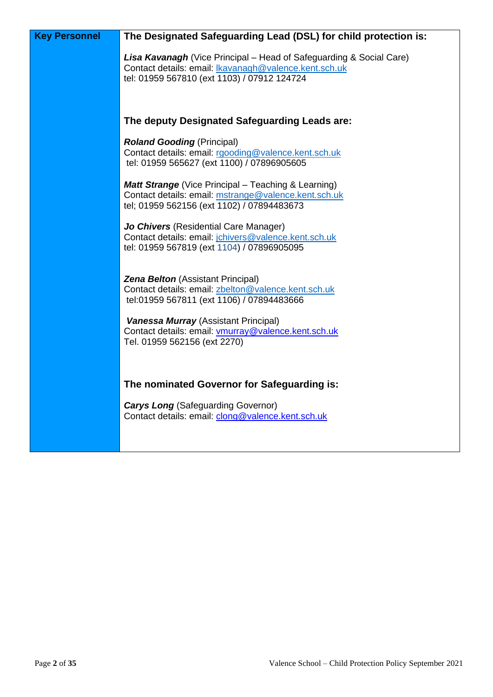| <b>Key Personnel</b> | The Designated Safeguarding Lead (DSL) for child protection is:                                                                                                                           |
|----------------------|-------------------------------------------------------------------------------------------------------------------------------------------------------------------------------------------|
|                      | <b>Lisa Kavanagh</b> (Vice Principal – Head of Safeguarding & Social Care)<br>Contact details: email: <b>Ikavanagh@valence.kent.sch.uk</b><br>tel: 01959 567810 (ext 1103) / 07912 124724 |
|                      | The deputy Designated Safeguarding Leads are:                                                                                                                                             |
|                      | <b>Roland Gooding (Principal)</b><br>Contact details: email: rgooding@valence.kent.sch.uk<br>tel: 01959 565627 (ext 1100) / 07896905605                                                   |
|                      | <b>Matt Strange</b> (Vice Principal – Teaching & Learning)<br>Contact details: email: mstrange@valence.kent.sch.uk<br>tel; 01959 562156 (ext 1102) / 07894483673                          |
|                      | Jo Chivers (Residential Care Manager)<br>Contact details: email: jchivers@valence.kent.sch.uk<br>tel: 01959 567819 (ext 1104) / 07896905095                                               |
|                      | <b>Zena Belton</b> (Assistant Principal)<br>Contact details: email: zbelton@valence.kent.sch.uk<br>tel:01959 567811 (ext 1106) / 07894483666                                              |
|                      | <b>Vanessa Murray (Assistant Principal)</b><br>Contact details: email: vmurray@valence.kent.sch.uk<br>Tel. 01959 562156 (ext 2270)                                                        |
|                      | The nominated Governor for Safeguarding is:                                                                                                                                               |
|                      | <b>Carys Long</b> (Safeguarding Governor)<br>Contact details: email: clong@valence.kent.sch.uk                                                                                            |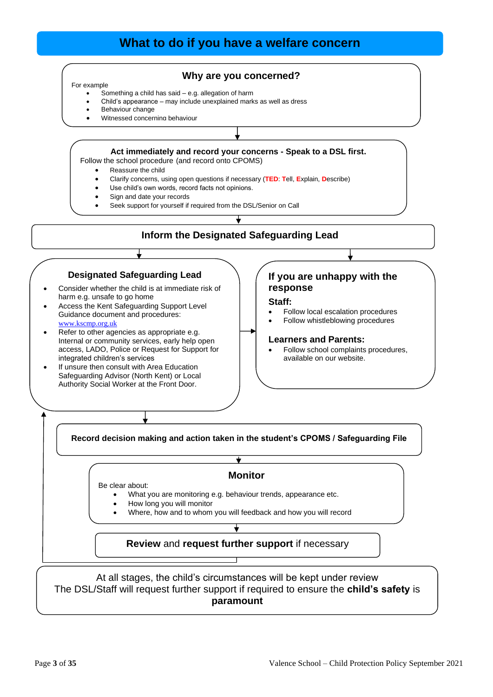# **What to do if you have a welfare concern**

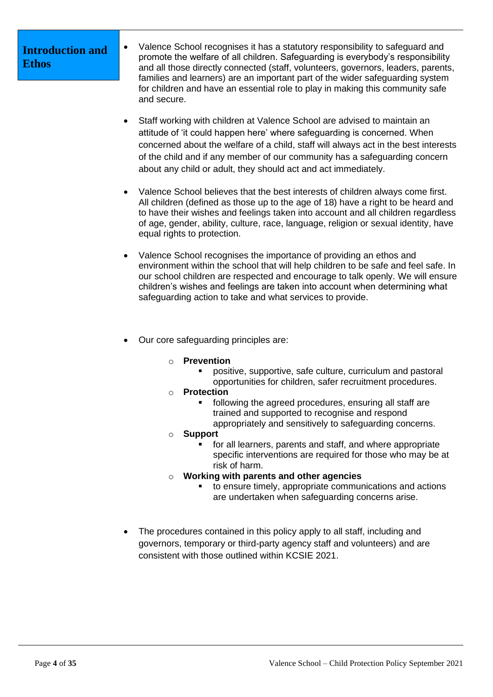# **Introduction and Ethos**

- Valence School recognises it has a statutory responsibility to safeguard and promote the welfare of all children. Safeguarding is everybody's responsibility and all those directly connected (staff, volunteers, governors, leaders, parents, families and learners) are an important part of the wider safeguarding system for children and have an essential role to play in making this community safe and secure.
- Staff working with children at Valence School are advised to maintain an attitude of 'it could happen here' where safeguarding is concerned. When concerned about the welfare of a child, staff will always act in the best interests of the child and if any member of our community has a safeguarding concern about any child or adult, they should act and act immediately.
- Valence School believes that the best interests of children always come first. All children (defined as those up to the age of 18) have a right to be heard and to have their wishes and feelings taken into account and all children regardless of age, gender, ability, culture, race, language, religion or sexual identity, have equal rights to protection.
- Valence School recognises the importance of providing an ethos and environment within the school that will help children to be safe and feel safe. In our school children are respected and encourage to talk openly. We will ensure children's wishes and feelings are taken into account when determining what safeguarding action to take and what services to provide.
- Our core safeguarding principles are:
	- o **Prevention**
		- positive, supportive, safe culture, curriculum and pastoral opportunities for children, safer recruitment procedures.
	- o **Protection**
		- following the agreed procedures, ensuring all staff are trained and supported to recognise and respond appropriately and sensitively to safeguarding concerns.
	- o **Support**
		- for all learners, parents and staff, and where appropriate specific interventions are required for those who may be at risk of harm.
	- o **Working with parents and other agencies**
		- to ensure timely, appropriate communications and actions are undertaken when safeguarding concerns arise.
- The procedures contained in this policy apply to all staff, including and governors, temporary or third-party agency staff and volunteers) and are consistent with those outlined within KCSIE 2021.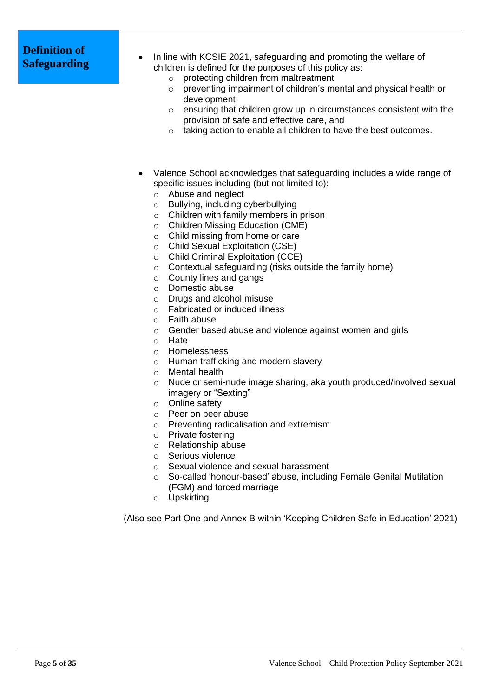# **Definition of**

- **Safeguarding** In line with KCSIE 2021, safeguarding and promoting the welfare of **Safeguarding** children is defined for the purposes of this policy as:
	- o protecting children from maltreatment
	- o preventing impairment of children's mental and physical health or development
	- o ensuring that children grow up in circumstances consistent with the provision of safe and effective care, and
	- o taking action to enable all children to have the best outcomes.
	- Valence School acknowledges that safeguarding includes a wide range of specific issues including (but not limited to):
		- o Abuse and neglect
		- o Bullying, including cyberbullying
		- o Children with family members in prison
		- o Children Missing Education (CME)
		- o Child missing from home or care
		- o Child Sexual Exploitation (CSE)
		- o Child Criminal Exploitation (CCE)
		- o Contextual safeguarding (risks outside the family home)
		- o County lines and gangs
		- o Domestic abuse
		- o Drugs and alcohol misuse
		- o Fabricated or induced illness
		- o Faith abuse
		- o Gender based abuse and violence against women and girls
		- o Hate
		- o Homelessness
		- o Human trafficking and modern slavery
		- o Mental health
		- o Nude or semi-nude image sharing, aka youth produced/involved sexual imagery or "Sexting"
		- o Online safety
		- o Peer on peer abuse
		- o Preventing radicalisation and extremism
		- o Private fostering
		- o Relationship abuse
		- o Serious violence
		- o Sexual violence and sexual harassment
		- o So-called 'honour-based' abuse, including Female Genital Mutilation (FGM) and forced marriage
		- o Upskirting

(Also see Part One and Annex B within 'Keeping Children Safe in Education' 2021)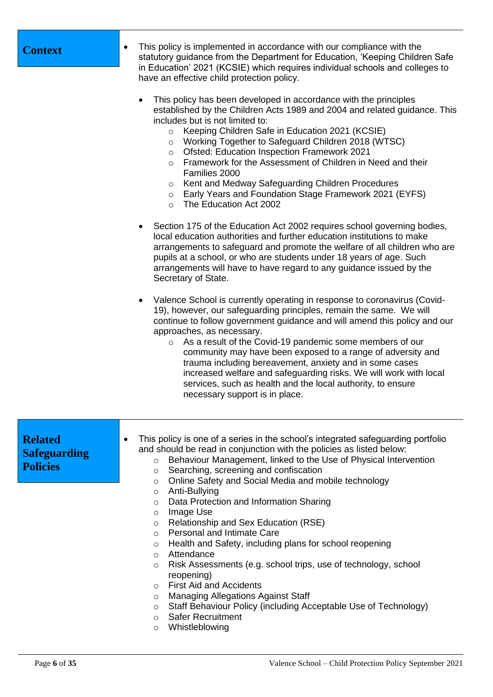| <b>Context</b>                                           | This policy is implemented in accordance with our compliance with the<br>statutory guidance from the Department for Education, 'Keeping Children Safe<br>in Education' 2021 (KCSIE) which requires individual schools and colleges to<br>have an effective child protection policy.<br>This policy has been developed in accordance with the principles<br>established by the Children Acts 1989 and 2004 and related guidance. This<br>includes but is not limited to:<br>Keeping Children Safe in Education 2021 (KCSIE)<br>$\circ$<br>Working Together to Safeguard Children 2018 (WTSC)<br>$\circ$<br>Ofsted: Education Inspection Framework 2021<br>$\circ$<br>Framework for the Assessment of Children in Need and their<br>$\circ$<br>Families 2000<br>Kent and Medway Safeguarding Children Procedures<br>$\circ$<br>Early Years and Foundation Stage Framework 2021 (EYFS)<br>$\circ$<br>The Education Act 2002<br>$\circ$<br>Section 175 of the Education Act 2002 requires school governing bodies,<br>$\bullet$<br>local education authorities and further education institutions to make<br>arrangements to safeguard and promote the welfare of all children who are<br>pupils at a school, or who are students under 18 years of age. Such<br>arrangements will have to have regard to any guidance issued by the<br>Secretary of State.<br>Valence School is currently operating in response to coronavirus (Covid-<br>19), however, our safeguarding principles, remain the same. We will<br>continue to follow government guidance and will amend this policy and our<br>approaches, as necessary.<br>As a result of the Covid-19 pandemic some members of our<br>$\circ$<br>community may have been exposed to a range of adversity and<br>trauma including bereavement, anxiety and in some cases<br>increased welfare and safeguarding risks. We will work with local<br>services, such as health and the local authority, to ensure<br>necessary support is in place. |
|----------------------------------------------------------|---------------------------------------------------------------------------------------------------------------------------------------------------------------------------------------------------------------------------------------------------------------------------------------------------------------------------------------------------------------------------------------------------------------------------------------------------------------------------------------------------------------------------------------------------------------------------------------------------------------------------------------------------------------------------------------------------------------------------------------------------------------------------------------------------------------------------------------------------------------------------------------------------------------------------------------------------------------------------------------------------------------------------------------------------------------------------------------------------------------------------------------------------------------------------------------------------------------------------------------------------------------------------------------------------------------------------------------------------------------------------------------------------------------------------------------------------------------------------------------------------------------------------------------------------------------------------------------------------------------------------------------------------------------------------------------------------------------------------------------------------------------------------------------------------------------------------------------------------------------------------------------------------------------------------------------------------------------------------------------------|
| <b>Related</b><br><b>Safeguarding</b><br><b>Policies</b> | This policy is one of a series in the school's integrated safeguarding portfolio<br>and should be read in conjunction with the policies as listed below:<br>Behaviour Management, linked to the Use of Physical Intervention<br>$\circ$<br>Searching, screening and confiscation<br>$\circ$<br>Online Safety and Social Media and mobile technology<br>$\circ$<br>Anti-Bullying<br>$\circ$<br>Data Protection and Information Sharing<br>$\circ$<br>Image Use<br>$\circ$<br>Relationship and Sex Education (RSE)<br>$\circ$<br>Personal and Intimate Care<br>$\circ$<br>Health and Safety, including plans for school reopening<br>$\circ$<br>Attendance<br>$\circ$<br>Risk Assessments (e.g. school trips, use of technology, school<br>$\circ$<br>reopening)<br><b>First Aid and Accidents</b><br>$\circ$                                                                                                                                                                                                                                                                                                                                                                                                                                                                                                                                                                                                                                                                                                                                                                                                                                                                                                                                                                                                                                                                                                                                                                                 |

- o Managing Allegations Against Staff
- o Staff Behaviour Policy (including Acceptable Use of Technology)
- o Safer Recruitment
- o Whistleblowing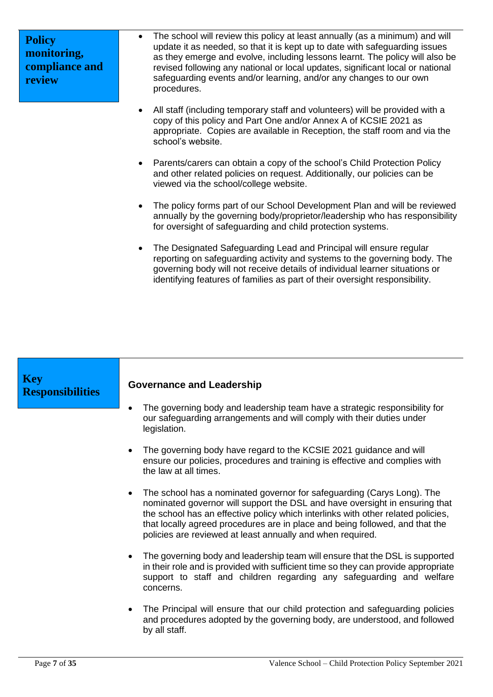| <b>Policy</b>  |
|----------------|
| monitoring,    |
| compliance and |
| review         |

- The school will review this policy at least annually (as a minimum) and will update it as needed, so that it is kept up to date with safeguarding issues as they emerge and evolve, including lessons learnt. The policy will also be revised following any national or local updates, significant local or national safeguarding events and/or learning, and/or any changes to our own procedures.
- All staff (including temporary staff and volunteers) will be provided with a copy of this policy and Part One and/or Annex A of KCSIE 2021 as appropriate. Copies are available in Reception, the staff room and via the school's website.
- Parents/carers can obtain a copy of the school's Child Protection Policy and other related policies on request. Additionally, our policies can be viewed via the school/college website.
- The policy forms part of our School Development Plan and will be reviewed annually by the governing body/proprietor/leadership who has responsibility for oversight of safeguarding and child protection systems.
- The Designated Safeguarding Lead and Principal will ensure regular reporting on safeguarding activity and systems to the governing body. The governing body will not receive details of individual learner situations or identifying features of families as part of their oversight responsibility.

| <b>Key</b><br><b>Responsibilities</b> | <b>Governance and Leadership</b>                                                                                                                                                                                                                                                                                                                                                                     |
|---------------------------------------|------------------------------------------------------------------------------------------------------------------------------------------------------------------------------------------------------------------------------------------------------------------------------------------------------------------------------------------------------------------------------------------------------|
|                                       | The governing body and leadership team have a strategic responsibility for<br>our safeguarding arrangements and will comply with their duties under<br>legislation.                                                                                                                                                                                                                                  |
|                                       | • The governing body have regard to the KCSIE 2021 guidance and will<br>ensure our policies, procedures and training is effective and complies with<br>the law at all times.                                                                                                                                                                                                                         |
|                                       | The school has a nominated governor for safeguarding (Carys Long). The<br>$\bullet$<br>nominated governor will support the DSL and have oversight in ensuring that<br>the school has an effective policy which interlinks with other related policies,<br>that locally agreed procedures are in place and being followed, and that the<br>policies are reviewed at least annually and when required. |
|                                       | • The governing body and leadership team will ensure that the DSL is supported<br>in their role and is provided with sufficient time so they can provide appropriate<br>support to staff and children regarding any safeguarding and welfare<br>concerns.                                                                                                                                            |
|                                       | The Principal will ensure that our child protection and safeguarding policies<br>$\bullet$<br>and procedures adopted by the governing body, are understood, and followed<br>by all staff.                                                                                                                                                                                                            |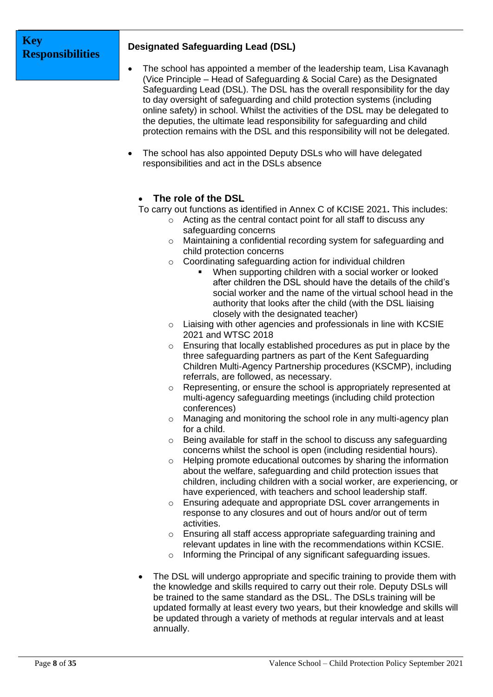# **Key Responsibilities**

# **Designated Safeguarding Lead (DSL)**

- The school has appointed a member of the leadership team, Lisa Kavanagh (Vice Principle – Head of Safeguarding & Social Care) as the Designated Safeguarding Lead (DSL). The DSL has the overall responsibility for the day to day oversight of safeguarding and child protection systems (including online safety) in school. Whilst the activities of the DSL may be delegated to the deputies, the ultimate lead responsibility for safeguarding and child protection remains with the DSL and this responsibility will not be delegated.
- The school has also appointed Deputy DSLs who will have delegated responsibilities and act in the DSLs absence

# • **The role of the DSL**

To carry out functions as identified in Annex C of KCISE 2021**.** This includes:

- o Acting as the central contact point for all staff to discuss any safeguarding concerns
- o Maintaining a confidential recording system for safeguarding and child protection concerns
- o Coordinating safeguarding action for individual children
	- When supporting children with a social worker or looked after children the DSL should have the details of the child's social worker and the name of the virtual school head in the authority that looks after the child (with the DSL liaising closely with the designated teacher)
- $\circ$  Liaising with other agencies and professionals in line with KCSIE 2021 and WTSC 2018
- o Ensuring that locally established procedures as put in place by the three safeguarding partners as part of the Kent Safeguarding Children Multi-Agency Partnership procedures (KSCMP), including referrals, are followed, as necessary.
- o Representing, or ensure the school is appropriately represented at multi-agency safeguarding meetings (including child protection conferences)
- o Managing and monitoring the school role in any multi-agency plan for a child.
- o Being available for staff in the school to discuss any safeguarding concerns whilst the school is open (including residential hours).
- o Helping promote educational outcomes by sharing the information about the welfare, safeguarding and child protection issues that children, including children with a social worker, are experiencing, or have experienced, with teachers and school leadership staff.
- o Ensuring adequate and appropriate DSL cover arrangements in response to any closures and out of hours and/or out of term activities.
- o Ensuring all staff access appropriate safeguarding training and relevant updates in line with the recommendations within KCSIE.
- o Informing the Principal of any significant safeguarding issues.
- The DSL will undergo appropriate and specific training to provide them with the knowledge and skills required to carry out their role. Deputy DSLs will be trained to the same standard as the DSL. The DSLs training will be updated formally at least every two years, but their knowledge and skills will be updated through a variety of methods at regular intervals and at least annually.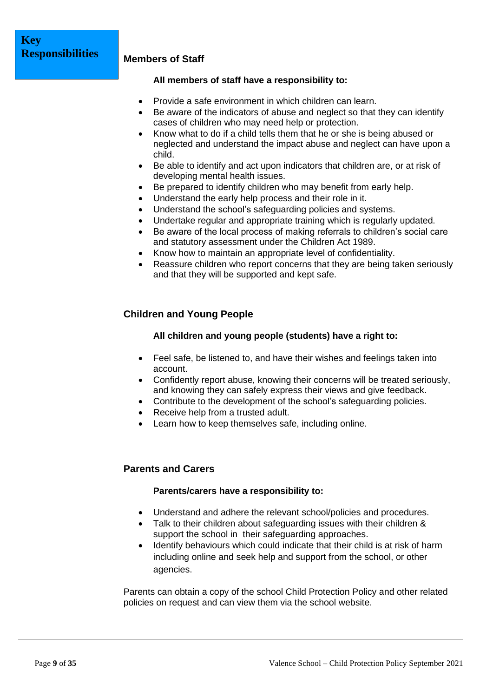### **Members of Staff**

### **All members of staff have a responsibility to:**

- Provide a safe environment in which children can learn.
- Be aware of the indicators of abuse and neglect so that they can identify cases of children who may need help or protection.
- Know what to do if a child tells them that he or she is being abused or neglected and understand the impact abuse and neglect can have upon a child.
- Be able to identify and act upon indicators that children are, or at risk of developing mental health issues.
- Be prepared to identify children who may benefit from early help.
- Understand the early help process and their role in it.
- Understand the school's safeguarding policies and systems.
- Undertake regular and appropriate training which is regularly updated.
- Be aware of the local process of making referrals to children's social care and statutory assessment under the Children Act 1989.
- Know how to maintain an appropriate level of confidentiality.
- Reassure children who report concerns that they are being taken seriously and that they will be supported and kept safe.

# **Children and Young People**

### **All children and young people (students) have a right to:**

- Feel safe, be listened to, and have their wishes and feelings taken into account.
- Confidently report abuse, knowing their concerns will be treated seriously, and knowing they can safely express their views and give feedback.
- Contribute to the development of the school's safeguarding policies.
- Receive help from a trusted adult.
- Learn how to keep themselves safe, including online.

### **Parents and Carers**

### **Parents/carers have a responsibility to:**

- Understand and adhere the relevant school/policies and procedures.
- Talk to their children about safeguarding issues with their children & support the school in their safeguarding approaches.
- Identify behaviours which could indicate that their child is at risk of harm including online and seek help and support from the school, or other agencies.

Parents can obtain a copy of the school Child Protection Policy and other related policies on request and can view them via the school website.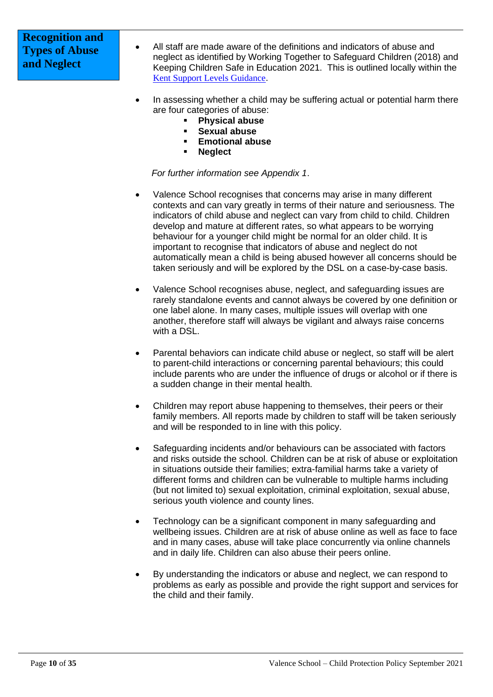# **Recognition and Types of Abuse and Neglect**

- All staff are made aware of the definitions and indicators of abuse and neglect as identified by Working Together to Safeguard Children (2018) and Keeping Children Safe in Education 2021. This is outlined locally within the [Kent Support Levels Guidance](https://www.kscmp.org.uk/guidance/kent-support-levels-guidance).
- In assessing whether a child may be suffering actual or potential harm there are four categories of abuse:
	- **Physical abuse**
	- **Sexual abuse**
	- **Emotional abuse**
	- **Neglect**

*For further information see Appendix 1*.

- Valence School recognises that concerns may arise in many different contexts and can vary greatly in terms of their nature and seriousness. The indicators of child abuse and neglect can vary from child to child. Children develop and mature at different rates, so what appears to be worrying behaviour for a younger child might be normal for an older child. It is important to recognise that indicators of abuse and neglect do not automatically mean a child is being abused however all concerns should be taken seriously and will be explored by the DSL on a case-by-case basis.
- Valence School recognises abuse, neglect, and safeguarding issues are rarely standalone events and cannot always be covered by one definition or one label alone. In many cases, multiple issues will overlap with one another, therefore staff will always be vigilant and always raise concerns with a DSL.
- Parental behaviors can indicate child abuse or neglect, so staff will be alert to parent-child interactions or concerning parental behaviours; this could include parents who are under the influence of drugs or alcohol or if there is a sudden change in their mental health.
- Children may report abuse happening to themselves, their peers or their family members. All reports made by children to staff will be taken seriously and will be responded to in line with this policy.
- Safeguarding incidents and/or behaviours can be associated with factors and risks outside the school. Children can be at risk of abuse or exploitation in situations outside their families; extra-familial harms take a variety of different forms and children can be vulnerable to multiple harms including (but not limited to) sexual exploitation, criminal exploitation, sexual abuse, serious youth violence and county lines.
- Technology can be a significant component in many safeguarding and wellbeing issues. Children are at risk of abuse online as well as face to face and in many cases, abuse will take place concurrently via online channels and in daily life. Children can also abuse their peers online.
- By understanding the indicators or abuse and neglect, we can respond to problems as early as possible and provide the right support and services for the child and their family.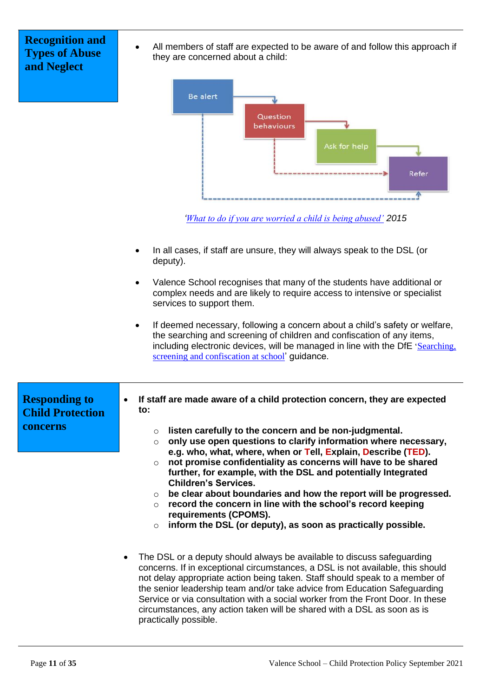# **Recognition and Types of Abuse and Neglect**

• All members of staff are expected to be aware of and follow this approach if they are concerned about a child:



*'[What to do if you are worried a child is being abused'](https://www.gov.uk/government/publications/what-to-do-if-youre-worried-a-child-is-being-abused--2) 2015*

- In all cases, if staff are unsure, they will always speak to the DSL (or deputy).
- Valence School recognises that many of the students have additional or complex needs and are likely to require access to intensive or specialist services to support them.
- If deemed necessary, following a concern about a child's safety or welfare, the searching and screening of children and confiscation of any items, including electronic devices, will be managed in line with the DfE '[Searching,](https://www.gov.uk/government/publications/searching-screening-and-confiscation)  [screening and confiscation at school](https://www.gov.uk/government/publications/searching-screening-and-confiscation)' guidance.

| <b>Responding to</b><br><b>Child Protection</b><br>concerns | If staff are made aware of a child protection concern, they are expected<br>$\bullet$<br>to:                                                                                                                                                                                                                                                                                                                                                                                                                                                                                                                                                            |
|-------------------------------------------------------------|---------------------------------------------------------------------------------------------------------------------------------------------------------------------------------------------------------------------------------------------------------------------------------------------------------------------------------------------------------------------------------------------------------------------------------------------------------------------------------------------------------------------------------------------------------------------------------------------------------------------------------------------------------|
|                                                             | listen carefully to the concern and be non-judgmental.<br>$\circ$<br>only use open questions to clarify information where necessary,<br>$\circ$<br>e.g. who, what, where, when or Tell, Explain, Describe (TED).<br>not promise confidentiality as concerns will have to be shared<br>$\circ$<br>further, for example, with the DSL and potentially Integrated<br><b>Children's Services.</b><br>$\circ$ be clear about boundaries and how the report will be progressed.<br>record the concern in line with the school's record keeping<br>$\circ$<br>requirements (CPOMS).<br>inform the DSL (or deputy), as soon as practically possible.<br>$\circ$ |
|                                                             | The DSL or a deputy should always be available to discuss safeguarding<br>$\bullet$<br>concerns. If in exceptional circumstances, a DSL is not available, this should                                                                                                                                                                                                                                                                                                                                                                                                                                                                                   |

not delay appropriate action being taken. Staff should speak to a member of the senior leadership team and/or take advice from Education Safeguarding Service or via consultation with a social worker from the Front Door. In these circumstances, any action taken will be shared with a DSL as soon as is practically possible.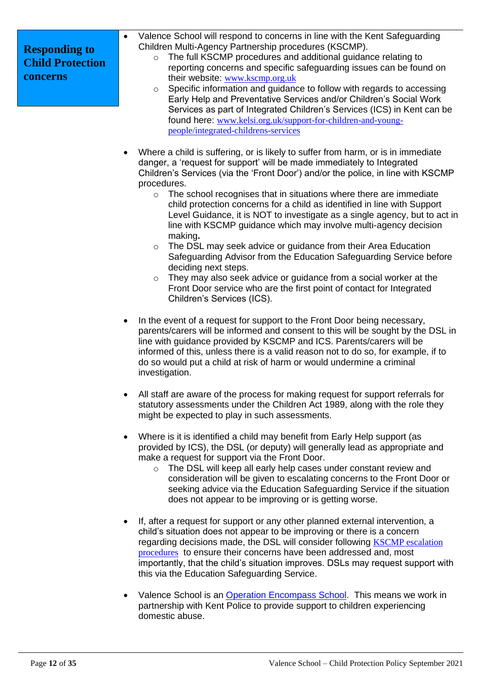| Valence School will respond to concerns in line with the Kent Safeguarding<br>Children Multi-Agency Partnership procedures (KSCMP).<br>The full KSCMP procedures and additional guidance relating to<br>$\circ$<br>reporting concerns and specific safeguarding issues can be found on<br>their website: www.kscmp.org.uk<br>Specific information and guidance to follow with regards to accessing<br>$\circ$<br>Early Help and Preventative Services and/or Children's Social Work |
|-------------------------------------------------------------------------------------------------------------------------------------------------------------------------------------------------------------------------------------------------------------------------------------------------------------------------------------------------------------------------------------------------------------------------------------------------------------------------------------|
| Services as part of Integrated Children's Services (ICS) in Kent can be                                                                                                                                                                                                                                                                                                                                                                                                             |
|                                                                                                                                                                                                                                                                                                                                                                                                                                                                                     |

found here: [www.kelsi.org.uk/support-for-children-and-young](http://www.kelsi.org.uk/support-for-children-and-young-people/integrated-childrens-services)[people/integrated-childrens-services](http://www.kelsi.org.uk/support-for-children-and-young-people/integrated-childrens-services)

- Where a child is suffering, or is likely to suffer from harm, or is in immediate danger, a 'request for support' will be made immediately to Integrated Children's Services (via the 'Front Door') and/or the police, in line with KSCMP procedures.
	- o The school recognises that in situations where there are immediate child protection concerns for a child as identified in line with Support Level Guidance, it is NOT to investigate as a single agency, but to act in line with KSCMP guidance which may involve multi-agency decision making**.**
	- $\circ$  The DSL may seek advice or guidance from their Area Education Safeguarding Advisor from the Education Safeguarding Service before deciding next steps.
	- o They may also seek advice or guidance from a social worker at the Front Door service who are the first point of contact for Integrated Children's Services (ICS).
- In the event of a request for support to the Front Door being necessary, parents/carers will be informed and consent to this will be sought by the DSL in line with guidance provided by KSCMP and ICS. Parents/carers will be informed of this, unless there is a valid reason not to do so, for example, if to do so would put a child at risk of harm or would undermine a criminal investigation.
- All staff are aware of the process for making request for support referrals for statutory assessments under the Children Act 1989, along with the role they might be expected to play in such assessments.
- Where is it is identified a child may benefit from Early Help support (as provided by ICS), the DSL (or deputy) will generally lead as appropriate and make a request for support via the Front Door.
	- o The DSL will keep all early help cases under constant review and consideration will be given to escalating concerns to the Front Door or seeking advice via the Education Safeguarding Service if the situation does not appear to be improving or is getting worse.
- If, after a request for support or any other planned external intervention, a child's situation does not appear to be improving or there is a concern regarding decisions made, the DSL will consider following [KSCMP escalation](https://www.proceduresonline.com/kentandmedway/chapters/p_resolution.html)  [procedures](https://www.proceduresonline.com/kentandmedway/chapters/p_resolution.html) to ensure their concerns have been addressed and, most importantly, that the child's situation improves. DSLs may request support with this via the Education Safeguarding Service.
- Valence School is an [Operation Encompass School.](https://www.operationencompass.org/) This means we work in partnership with Kent Police to provide support to children experiencing domestic abuse.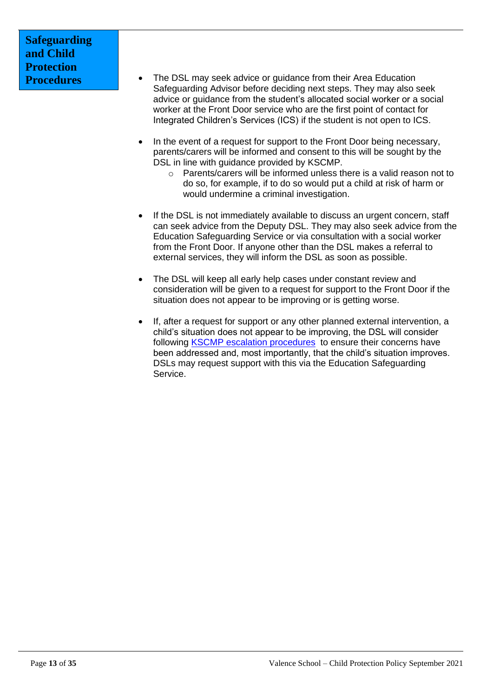# **Safeguarding and Child Protection Procedures**

- The DSL may seek advice or guidance from their Area Education Safeguarding Advisor before deciding next steps. They may also seek advice or guidance from the student's allocated social worker or a social worker at the Front Door service who are the first point of contact for Integrated Children's Services (ICS) if the student is not open to ICS.
- In the event of a request for support to the Front Door being necessary, parents/carers will be informed and consent to this will be sought by the DSL in line with quidance provided by KSCMP.
	- o Parents/carers will be informed unless there is a valid reason not to do so, for example, if to do so would put a child at risk of harm or would undermine a criminal investigation.
- If the DSL is not immediately available to discuss an urgent concern, staff can seek advice from the Deputy DSL. They may also seek advice from the Education Safeguarding Service or via consultation with a social worker from the Front Door. If anyone other than the DSL makes a referral to external services, they will inform the DSL as soon as possible.
- The DSL will keep all early help cases under constant review and consideration will be given to a request for support to the Front Door if the situation does not appear to be improving or is getting worse.
- If, after a request for support or any other planned external intervention, a child's situation does not appear to be improving, the DSL will consider following KSCMP [escalation procedures](https://www.proceduresonline.com/kentandmedway/chapters/p_resolution.html) to ensure their concerns have been addressed and, most importantly, that the child's situation improves. DSLs may request support with this via the Education Safeguarding Service.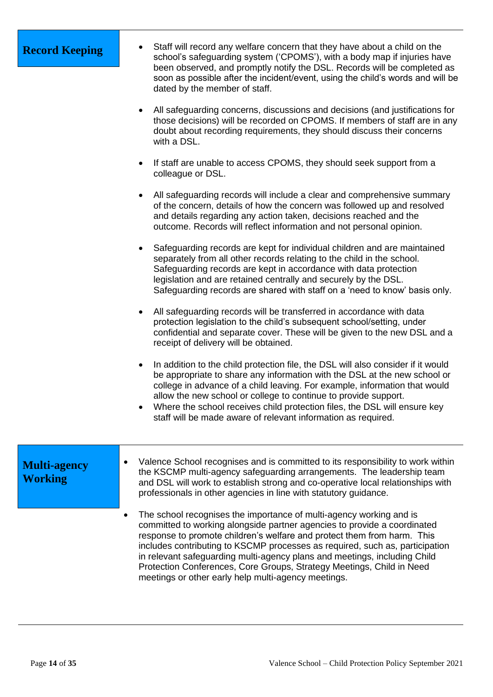| <b>Record Keeping</b>                 | Staff will record any welfare concern that they have about a child on the<br>school's safeguarding system ('CPOMS'), with a body map if injuries have<br>been observed, and promptly notify the DSL. Records will be completed as<br>soon as possible after the incident/event, using the child's words and will be<br>dated by the member of staff.                                                                                                                                                                    |
|---------------------------------------|-------------------------------------------------------------------------------------------------------------------------------------------------------------------------------------------------------------------------------------------------------------------------------------------------------------------------------------------------------------------------------------------------------------------------------------------------------------------------------------------------------------------------|
|                                       | All safeguarding concerns, discussions and decisions (and justifications for<br>those decisions) will be recorded on CPOMS. If members of staff are in any<br>doubt about recording requirements, they should discuss their concerns<br>with a DSL.                                                                                                                                                                                                                                                                     |
|                                       | If staff are unable to access CPOMS, they should seek support from a<br>colleague or DSL.                                                                                                                                                                                                                                                                                                                                                                                                                               |
|                                       | All safeguarding records will include a clear and comprehensive summary<br>٠<br>of the concern, details of how the concern was followed up and resolved<br>and details regarding any action taken, decisions reached and the<br>outcome. Records will reflect information and not personal opinion.                                                                                                                                                                                                                     |
|                                       | Safeguarding records are kept for individual children and are maintained<br>separately from all other records relating to the child in the school.<br>Safeguarding records are kept in accordance with data protection<br>legislation and are retained centrally and securely by the DSL.<br>Safeguarding records are shared with staff on a 'need to know' basis only.                                                                                                                                                 |
|                                       | All safeguarding records will be transferred in accordance with data<br>$\bullet$<br>protection legislation to the child's subsequent school/setting, under<br>confidential and separate cover. These will be given to the new DSL and a<br>receipt of delivery will be obtained.                                                                                                                                                                                                                                       |
|                                       | In addition to the child protection file, the DSL will also consider if it would<br>$\bullet$<br>be appropriate to share any information with the DSL at the new school or<br>college in advance of a child leaving. For example, information that would<br>allow the new school or college to continue to provide support.<br>Where the school receives child protection files, the DSL will ensure key<br>staff will be made aware of relevant information as required.                                               |
| <b>Multi-agency</b><br><b>Working</b> | Valence School recognises and is committed to its responsibility to work within<br>the KSCMP multi-agency safeguarding arrangements. The leadership team<br>and DSL will work to establish strong and co-operative local relationships with<br>professionals in other agencies in line with statutory guidance.                                                                                                                                                                                                         |
|                                       | The school recognises the importance of multi-agency working and is<br>committed to working alongside partner agencies to provide a coordinated<br>response to promote children's welfare and protect them from harm. This<br>includes contributing to KSCMP processes as required, such as, participation<br>in relevant safeguarding multi-agency plans and meetings, including Child<br>Protection Conferences, Core Groups, Strategy Meetings, Child in Need<br>meetings or other early help multi-agency meetings. |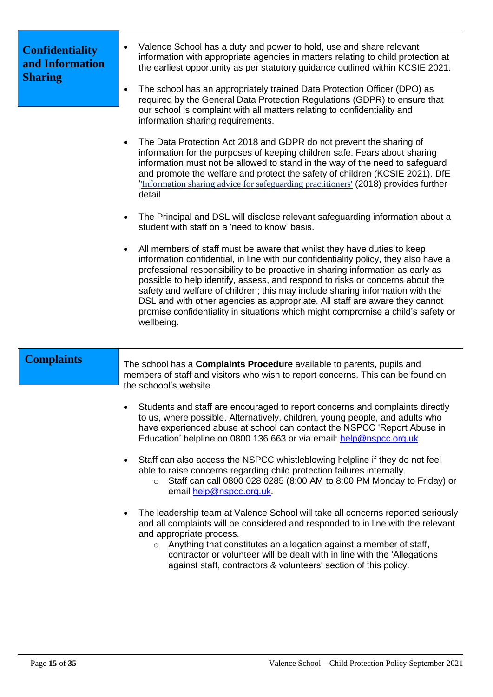| <b>Confidentiality</b><br>and Information<br><b>Sharing</b> | Valence School has a duty and power to hold, use and share relevant<br>information with appropriate agencies in matters relating to child protection at<br>the earliest opportunity as per statutory guidance outlined within KCSIE 2021.<br>The school has an appropriately trained Data Protection Officer (DPO) as<br>$\bullet$<br>required by the General Data Protection Regulations (GDPR) to ensure that<br>our school is complaint with all matters relating to confidentiality and<br>information sharing requirements.                                                                    |
|-------------------------------------------------------------|-----------------------------------------------------------------------------------------------------------------------------------------------------------------------------------------------------------------------------------------------------------------------------------------------------------------------------------------------------------------------------------------------------------------------------------------------------------------------------------------------------------------------------------------------------------------------------------------------------|
|                                                             | The Data Protection Act 2018 and GDPR do not prevent the sharing of<br>information for the purposes of keeping children safe. Fears about sharing<br>information must not be allowed to stand in the way of the need to safeguard<br>and promote the welfare and protect the safety of children (KCSIE 2021). DfE<br>"Information sharing advice for safeguarding practitioners' (2018) provides further<br>detail                                                                                                                                                                                  |
|                                                             | The Principal and DSL will disclose relevant safeguarding information about a<br>student with staff on a 'need to know' basis.                                                                                                                                                                                                                                                                                                                                                                                                                                                                      |
|                                                             | All members of staff must be aware that whilst they have duties to keep<br>information confidential, in line with our confidentiality policy, they also have a<br>professional responsibility to be proactive in sharing information as early as<br>possible to help identify, assess, and respond to risks or concerns about the<br>safety and welfare of children; this may include sharing information with the<br>DSL and with other agencies as appropriate. All staff are aware they cannot<br>promise confidentiality in situations which might compromise a child's safety or<br>wellbeing. |
| <b>Complaints</b>                                           | The school has a <b>Complaints Procedure</b> available to parents, pupils and<br>members of staff and visitors who wish to report concerns. This can be found on<br>the schoool's website.                                                                                                                                                                                                                                                                                                                                                                                                          |
|                                                             | Students and staff are encouraged to report concerns and complaints directly<br>to us, where possible. Alternatively, children, young people, and adults who<br>have experienced abuse at school can contact the NSPCC 'Report Abuse in<br>Education' helpline on 0800 136 663 or via email: help@nspcc.org.uk                                                                                                                                                                                                                                                                                      |
|                                                             | Staff can also access the NSPCC whistleblowing helpline if they do not feel<br>able to raise concerns regarding child protection failures internally.<br>Staff can call 0800 028 0285 (8:00 AM to 8:00 PM Monday to Friday) or<br>email help@nspcc.org.uk.                                                                                                                                                                                                                                                                                                                                          |
|                                                             | The leadership team at Valence School will take all concerns reported seriously<br>and all complaints will be considered and responded to in line with the relevant<br>and appropriate process.<br>Anything that constitutes an allegation against a member of staff,<br>$\circ$                                                                                                                                                                                                                                                                                                                    |

contractor or volunteer will be dealt with in line with the 'Allegations against staff, contractors & volunteers' section of this policy.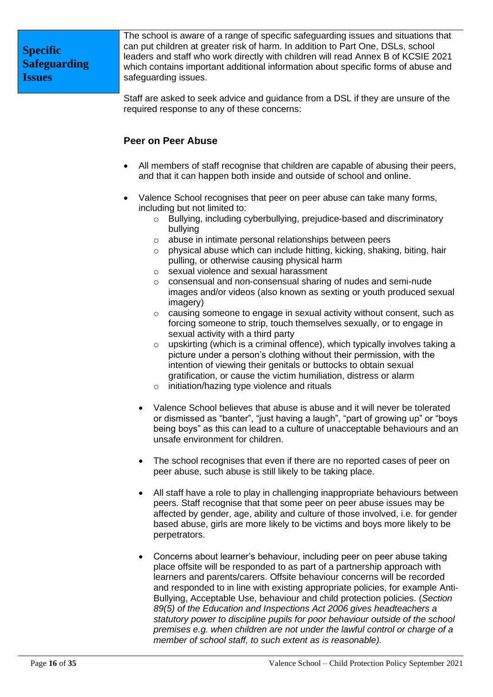The school is aware of a range of specific safeguarding issues and situations that can put children at greater risk of harm. In addition to Part One, DSLs, school leaders and staff who work directly with children will read Annex B of KCSIE 2021 which contains important additional information about specific forms of abuse and safeguarding issues.

Staff are asked to seek advice and guidance from a DSL if they are unsure of the required response to any of these concerns:

# **Peer on Peer Abuse**

- All members of staff recognise that children are capable of abusing their peers, and that it can happen both inside and outside of school and online.
- Valence School recognises that peer on peer abuse can take many forms, including but not limited to:
	- o Bullying, including cyberbullying, prejudice-based and discriminatory bullying
	- o abuse in intimate personal relationships between peers
	- o physical abuse which can include hitting, kicking, shaking, biting, hair pulling, or otherwise causing physical harm
	- o sexual violence and sexual harassment
	- o consensual and non-consensual sharing of nudes and semi-nude images and/or videos (also known as sexting or youth produced sexual imagery)
	- o causing someone to engage in sexual activity without consent, such as forcing someone to strip, touch themselves sexually, or to engage in sexual activity with a third party
	- o upskirting (which is a criminal offence), which typically involves taking a picture under a person's clothing without their permission, with the intention of viewing their genitals or buttocks to obtain sexual gratification, or cause the victim humiliation, distress or alarm
	- o initiation/hazing type violence and rituals
	- Valence School believes that abuse is abuse and it will never be tolerated or dismissed as "banter", "just having a laugh", "part of growing up" or "boys being boys" as this can lead to a culture of unacceptable behaviours and an unsafe environment for children.
	- The school recognises that even if there are no reported cases of peer on peer abuse, such abuse is still likely to be taking place.
	- All staff have a role to play in challenging inappropriate behaviours between peers. Staff recognise that that some peer on peer abuse issues may be affected by gender, age, ability and culture of those involved, i.e. for gender based abuse, girls are more likely to be victims and boys more likely to be perpetrators.
	- Concerns about learner's behaviour, including peer on peer abuse taking place offsite will be responded to as part of a partnership approach with learners and parents/carers. Offsite behaviour concerns will be recorded and responded to in line with existing appropriate policies, for example Anti-Bullying, Acceptable Use, behaviour and child protection policies. (*Section 89(5) of the Education and Inspections Act 2006 gives headteachers a statutory power to discipline pupils for poor behaviour outside of the school premises e.g. when children are not under the lawful control or charge of a member of school staff, to such extent as is reasonable).*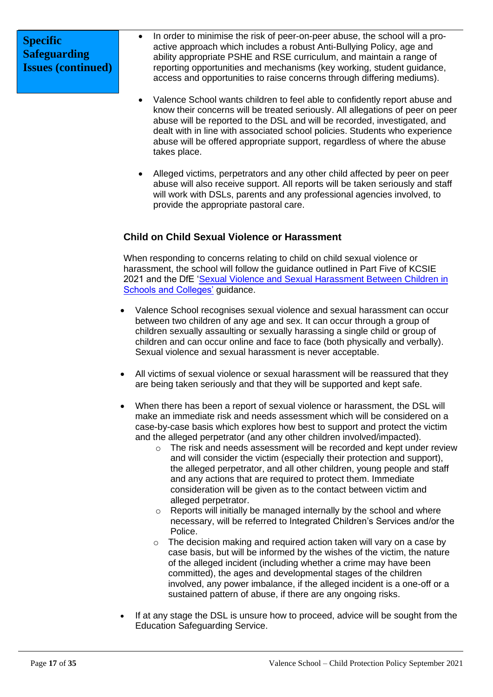- In order to minimise the risk of peer-on-peer abuse, the school will a proactive approach which includes a robust Anti-Bullying Policy, age and ability appropriate PSHE and RSE curriculum, and maintain a range of reporting opportunities and mechanisms (key working, student guidance, access and opportunities to raise concerns through differing mediums).
- Valence School wants children to feel able to confidently report abuse and know their concerns will be treated seriously. All allegations of peer on peer abuse will be reported to the DSL and will be recorded, investigated, and dealt with in line with associated school policies. Students who experience abuse will be offered appropriate support, regardless of where the abuse takes place.
- Alleged victims, perpetrators and any other child affected by peer on peer abuse will also receive support. All reports will be taken seriously and staff will work with DSLs, parents and any professional agencies involved, to provide the appropriate pastoral care.

# **Child on Child Sexual Violence or Harassment**

When responding to concerns relating to child on child sexual violence or harassment, the school will follow the guidance outlined in Part Five of KCSIE 2021 and the DfE ['Sexual Violence and Sexual Harassment Between Children in](https://www.gov.uk/government/publications/sexual-violence-and-sexual-harassment-between-children-in-schools-and-colleges)  [Schools and Colleges'](https://www.gov.uk/government/publications/sexual-violence-and-sexual-harassment-between-children-in-schools-and-colleges) guidance.

- Valence School recognises sexual violence and sexual harassment can occur between two children of any age and sex. It can occur through a group of children sexually assaulting or sexually harassing a single child or group of children and can occur online and face to face (both physically and verbally). Sexual violence and sexual harassment is never acceptable.
- All victims of sexual violence or sexual harassment will be reassured that they are being taken seriously and that they will be supported and kept safe.
- When there has been a report of sexual violence or harassment, the DSL will make an immediate risk and needs assessment which will be considered on a case-by-case basis which explores how best to support and protect the victim and the alleged perpetrator (and any other children involved/impacted).
	- o The risk and needs assessment will be recorded and kept under review and will consider the victim (especially their protection and support), the alleged perpetrator, and all other children, young people and staff and any actions that are required to protect them. Immediate consideration will be given as to the contact between victim and alleged perpetrator.
	- o Reports will initially be managed internally by the school and where necessary, will be referred to Integrated Children's Services and/or the Police.
	- o The decision making and required action taken will vary on a case by case basis, but will be informed by the wishes of the victim, the nature of the alleged incident (including whether a crime may have been committed), the ages and developmental stages of the children involved, any power imbalance, if the alleged incident is a one-off or a sustained pattern of abuse, if there are any ongoing risks.
- If at any stage the DSL is unsure how to proceed, advice will be sought from the Education Safeguarding Service.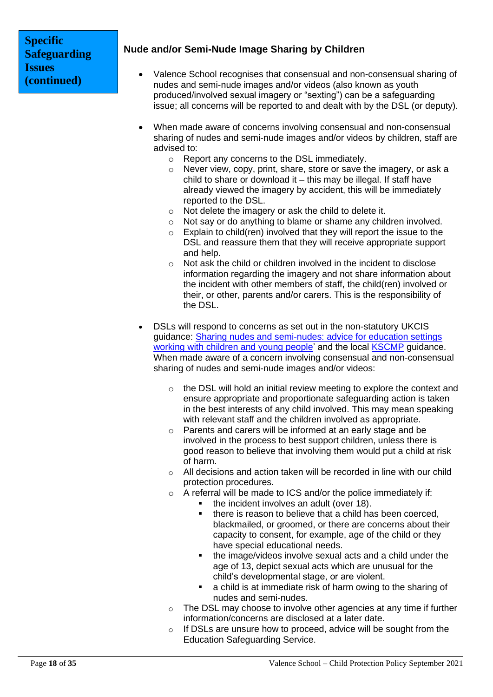# **Nude and/or Semi-Nude Image Sharing by Children**

- Valence School recognises that consensual and non-consensual sharing of nudes and semi-nude images and/or videos (also known as youth produced/involved sexual imagery or "sexting") can be a safeguarding issue; all concerns will be reported to and dealt with by the DSL (or deputy).
- When made aware of concerns involving consensual and non-consensual sharing of nudes and semi-nude images and/or videos by children, staff are advised to:
	- o Report any concerns to the DSL immediately.
	- $\circ$  Never view, copy, print, share, store or save the imagery, or ask a child to share or download it – this may be illegal. If staff have already viewed the imagery by accident, this will be immediately reported to the DSL.
	- o Not delete the imagery or ask the child to delete it.
	- o Not say or do anything to blame or shame any children involved.
	- $\circ$  Explain to child(ren) involved that they will report the issue to the DSL and reassure them that they will receive appropriate support and help.
	- o Not ask the child or children involved in the incident to disclose information regarding the imagery and not share information about the incident with other members of staff, the child(ren) involved or their, or other, parents and/or carers. This is the responsibility of the DSL.
- DSLs will respond to concerns as set out in the non-statutory UKCIS guidance: [Sharing nudes and semi-nudes: advice for education settings](https://www.gov.uk/government/publications/sharing-nudes-and-semi-nudes-advice-for-education-settings-working-with-children-and-young-people)  [working with children and young people'](https://www.gov.uk/government/publications/sharing-nudes-and-semi-nudes-advice-for-education-settings-working-with-children-and-young-people) and the local [KSCMP](http://www.kscb.org.uk/guidance/online-safety) guidance. When made aware of a concern involving consensual and non-consensual sharing of nudes and semi-nude images and/or videos:
	- o the DSL will hold an initial review meeting to explore the context and ensure appropriate and proportionate safeguarding action is taken in the best interests of any child involved. This may mean speaking with relevant staff and the children involved as appropriate.
	- o Parents and carers will be informed at an early stage and be involved in the process to best support children, unless there is good reason to believe that involving them would put a child at risk of harm.
	- o All decisions and action taken will be recorded in line with our child protection procedures.
	- o A referral will be made to ICS and/or the police immediately if:
		- the incident involves an adult (over 18).
			- there is reason to believe that a child has been coerced, blackmailed, or groomed, or there are concerns about their capacity to consent, for example, age of the child or they have special educational needs.
			- the image/videos involve sexual acts and a child under the age of 13, depict sexual acts which are unusual for the child's developmental stage, or are violent.
		- a child is at immediate risk of harm owing to the sharing of nudes and semi-nudes.
	- o The DSL may choose to involve other agencies at any time if further information/concerns are disclosed at a later date.
	- o If DSLs are unsure how to proceed, advice will be sought from the Education Safeguarding Service.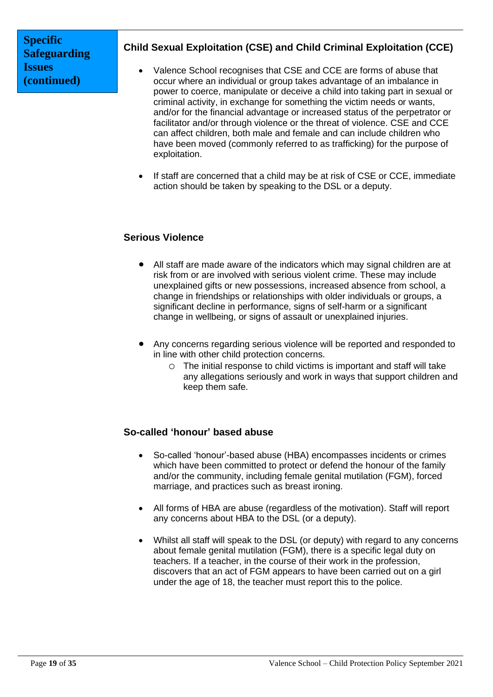# **Child Sexual Exploitation (CSE) and Child Criminal Exploitation (CCE)**

- Valence School recognises that CSE and CCE are forms of abuse that occur where an individual or group takes advantage of an imbalance in power to coerce, manipulate or deceive a child into taking part in sexual or criminal activity, in exchange for something the victim needs or wants, and/or for the financial advantage or increased status of the perpetrator or facilitator and/or through violence or the threat of violence. CSE and CCE can affect children, both male and female and can include children who have been moved (commonly referred to as trafficking) for the purpose of exploitation.
- If staff are concerned that a child may be at risk of CSE or CCE, immediate action should be taken by speaking to the DSL or a deputy.

# **Serious Violence**

- All staff are made aware of the indicators which may signal children are at risk from or are involved with serious violent crime. These may include unexplained gifts or new possessions, increased absence from school, a change in friendships or relationships with older individuals or groups, a significant decline in performance, signs of self-harm or a significant change in wellbeing, or signs of assault or unexplained injuries.
- Any concerns regarding serious violence will be reported and responded to in line with other child protection concerns.
	- o The initial response to child victims is important and staff will take any allegations seriously and work in ways that support children and keep them safe.

## **So-called 'honour' based abuse**

- So-called 'honour'-based abuse (HBA) encompasses incidents or crimes which have been committed to protect or defend the honour of the family and/or the community, including female genital mutilation (FGM), forced marriage, and practices such as breast ironing.
- All forms of HBA are abuse (regardless of the motivation). Staff will report any concerns about HBA to the DSL (or a deputy).
- Whilst all staff will speak to the DSL (or deputy) with regard to any concerns about female genital mutilation (FGM), there is a specific legal duty on teachers. If a teacher, in the course of their work in the profession, discovers that an act of FGM appears to have been carried out on a girl under the age of 18, the teacher must report this to the police.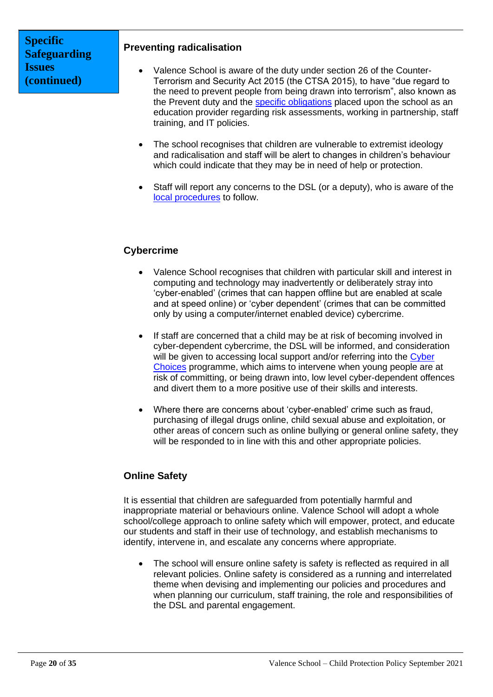### **Preventing radicalisation**

- Valence School is aware of the duty under section 26 of the Counter-Terrorism and Security Act 2015 (the CTSA 2015), to have "due regard to the need to prevent people from being drawn into terrorism", also known as the Prevent duty and the [specific obligations](https://www.gov.uk/government/publications/prevent-duty-guidance/prevent-duty-guidance-for-further-education-institutions-in-england-and-wales) placed upon the school as an education provider regarding risk assessments, working in partnership, staff training, and IT policies.
- The school recognises that children are vulnerable to extremist ideology and radicalisation and staff will be alert to changes in children's behaviour which could indicate that they may be in need of help or protection.
- Staff will report any concerns to the DSL (or a deputy), who is aware of the [local procedures](https://www.kelsi.org.uk/child-protection-and-safeguarding/prevent-within-schools) to follow.

# **Cybercrime**

- Valence School recognises that children with particular skill and interest in computing and technology may inadvertently or deliberately stray into 'cyber-enabled' (crimes that can happen offline but are enabled at scale and at speed online) or 'cyber dependent' (crimes that can be committed only by using a computer/internet enabled device) cybercrime.
- If staff are concerned that a child may be at risk of becoming involved in cyber-dependent cybercrime, the DSL will be informed, and consideration will be given to accessing local support and/or referring into the Cyber [Choices](http://www.cyberchoices.uk/) programme, which aims to intervene when young people are at risk of committing, or being drawn into, low level cyber-dependent offences and divert them to a more positive use of their skills and interests.
- Where there are concerns about 'cyber-enabled' crime such as fraud, purchasing of illegal drugs online, child sexual abuse and exploitation, or other areas of concern such as online bullying or general online safety, they will be responded to in line with this and other appropriate policies.

# **Online Safety**

It is essential that children are safeguarded from potentially harmful and inappropriate material or behaviours online. Valence School will adopt a whole school/college approach to online safety which will empower, protect, and educate our students and staff in their use of technology, and establish mechanisms to identify, intervene in, and escalate any concerns where appropriate.

• The school will ensure online safety is safety is reflected as required in all relevant policies. Online safety is considered as a running and interrelated theme when devising and implementing our policies and procedures and when planning our curriculum, staff training, the role and responsibilities of the DSL and parental engagement.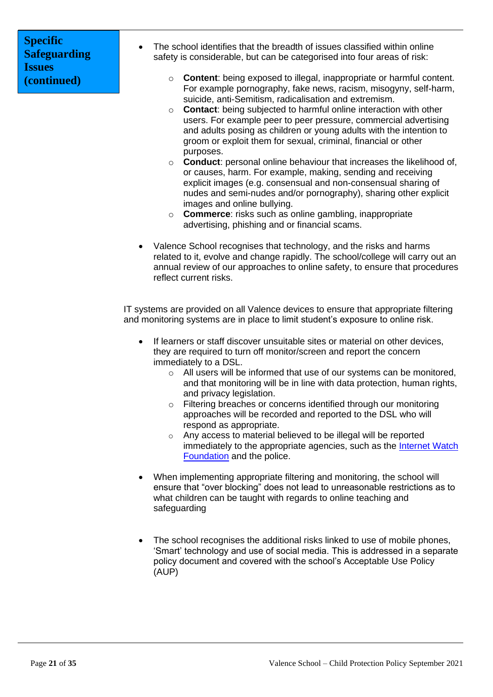- The school identifies that the breadth of issues classified within online safety is considerable, but can be categorised into four areas of risk:
	- o **Content**: being exposed to illegal, inappropriate or harmful content. For example pornography, fake news, racism, misogyny, self-harm, suicide, anti-Semitism, radicalisation and extremism.
	- o **Contact**: being subjected to harmful online interaction with other users. For example peer to peer pressure, commercial advertising and adults posing as children or young adults with the intention to groom or exploit them for sexual, criminal, financial or other purposes.
	- o **Conduct**: personal online behaviour that increases the likelihood of, or causes, harm. For example, making, sending and receiving explicit images (e.g. consensual and non-consensual sharing of nudes and semi-nudes and/or pornography), sharing other explicit images and online bullying.
	- o **Commerce**: risks such as online gambling, inappropriate advertising, phishing and or financial scams.
- Valence School recognises that technology, and the risks and harms related to it, evolve and change rapidly. The school/college will carry out an annual review of our approaches to online safety, to ensure that procedures reflect current risks.

IT systems are provided on all Valence devices to ensure that appropriate filtering and monitoring systems are in place to limit student's exposure to online risk.

- If learners or staff discover unsuitable sites or material on other devices, they are required to turn off monitor/screen and report the concern immediately to a DSL.
	- o All users will be informed that use of our systems can be monitored, and that monitoring will be in line with data protection, human rights, and privacy legislation.
	- o Filtering breaches or concerns identified through our monitoring approaches will be recorded and reported to the DSL who will respond as appropriate.
	- o Any access to material believed to be illegal will be reported immediately to the appropriate agencies, such as the [Internet Watch](https://www.iwf.org.uk/)  [Foundation](https://www.iwf.org.uk/) and the police.
- When implementing appropriate filtering and monitoring, the school will ensure that "over blocking" does not lead to unreasonable restrictions as to what children can be taught with regards to online teaching and safeguarding
- The school recognises the additional risks linked to use of mobile phones, 'Smart' technology and use of social media. This is addressed in a separate policy document and covered with the school's Acceptable Use Policy (AUP)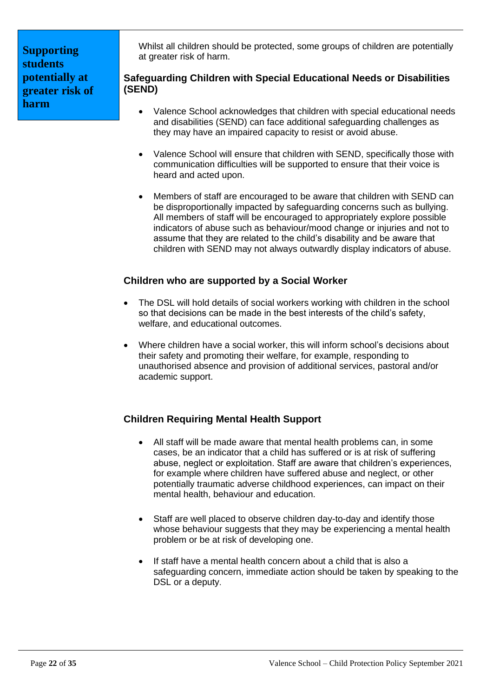**Supporting students potentially at greater risk of harm**

Whilst all children should be protected, some groups of children are potentially at greater risk of harm.

# **Safeguarding Children with Special Educational Needs or Disabilities (SEND)**

- Valence School acknowledges that children with special educational needs and disabilities (SEND) can face additional safeguarding challenges as they may have an impaired capacity to resist or avoid abuse.
- Valence School will ensure that children with SEND, specifically those with communication difficulties will be supported to ensure that their voice is heard and acted upon.
- Members of staff are encouraged to be aware that children with SEND can be disproportionally impacted by safeguarding concerns such as bullying. All members of staff will be encouraged to appropriately explore possible indicators of abuse such as behaviour/mood change or injuries and not to assume that they are related to the child's disability and be aware that children with SEND may not always outwardly display indicators of abuse.

# **Children who are supported by a Social Worker**

- The DSL will hold details of social workers working with children in the school so that decisions can be made in the best interests of the child's safety, welfare, and educational outcomes.
- Where children have a social worker, this will inform school's decisions about their safety and promoting their welfare, for example, responding to unauthorised absence and provision of additional services, pastoral and/or academic support.

# **Children Requiring Mental Health Support**

- All staff will be made aware that mental health problems can, in some cases, be an indicator that a child has suffered or is at risk of suffering abuse, neglect or exploitation. Staff are aware that children's experiences, for example where children have suffered abuse and neglect, or other potentially traumatic adverse childhood experiences, can impact on their mental health, behaviour and education.
- Staff are well placed to observe children day-to-day and identify those whose behaviour suggests that they may be experiencing a mental health problem or be at risk of developing one.
- If staff have a mental health concern about a child that is also a safeguarding concern, immediate action should be taken by speaking to the DSL or a deputy.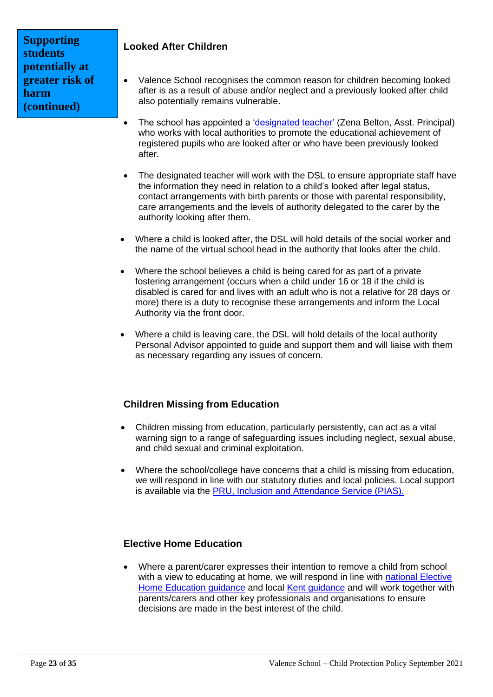# **Supporting students potentially at greater risk of harm (continued)**

# **Looked After Children**

- Valence School recognises the common reason for children becoming looked after is as a result of abuse and/or neglect and a previously looked after child also potentially remains vulnerable.
- The school has appointed a ['designated teacher'](https://www.gov.uk/government/publications/designated-teacher-for-looked-after-children) (Zena Belton, Asst. Principal) who works with local authorities to promote the educational achievement of registered pupils who are looked after or who have been previously looked after.
- The designated teacher will work with the DSL to ensure appropriate staff have the information they need in relation to a child's looked after legal status, contact arrangements with birth parents or those with parental responsibility, care arrangements and the levels of authority delegated to the carer by the authority looking after them.
- Where a child is looked after, the DSL will hold details of the social worker and the name of the virtual school head in the authority that looks after the child.
- Where the school believes a child is being cared for as part of a private fostering arrangement (occurs when a child under 16 or 18 if the child is disabled is cared for and lives with an adult who is not a relative for 28 days or more) there is a duty to recognise these arrangements and inform the Local Authority via the front door.
- Where a child is leaving care, the DSL will hold details of the local authority Personal Advisor appointed to guide and support them and will liaise with them as necessary regarding any issues of concern.

# **Children Missing from Education**

- Children missing from education, particularly persistently, can act as a vital warning sign to a range of safeguarding issues including neglect, sexual abuse, and child sexual and criminal exploitation.
- Where the school/college have concerns that a child is missing from education, we will respond in line with our statutory duties and local policies. Local support is available via the [PRU, Inclusion and Attendance Service \(PIAS\).](https://www.kelsi.org.uk/pru-inclusion-and-attendance-service-pias)

# **Elective Home Education**

• Where a parent/carer expresses their intention to remove a child from school with a view to educating at home, we will respond in line with [national Elective](https://www.gov.uk/government/publications/elective-home-education)  [Home Education guidance](https://www.gov.uk/government/publications/elective-home-education) and local [Kent guidance](https://www.kent.gov.uk/education-and-children/educating-your-child-at-home) and will work together with parents/carers and other key professionals and organisations to ensure decisions are made in the best interest of the child.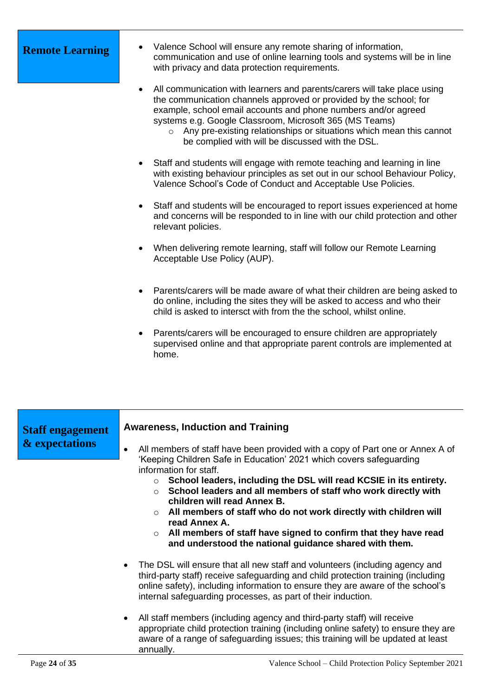- **Remote Learning •** Valence School will ensure any remote sharing of information, communication and use of online learning tools and systems will be in line with privacy and data protection requirements.
	- All communication with learners and parents/carers will take place using the communication channels approved or provided by the school; for example, school email accounts and phone numbers and/or agreed systems e.g. Google Classroom, Microsoft 365 (MS Teams)
		- o Any pre-existing relationships or situations which mean this cannot be complied with will be discussed with the DSL.
	- Staff and students will engage with remote teaching and learning in line with existing behaviour principles as set out in our school Behaviour Policy, Valence School's Code of Conduct and Acceptable Use Policies.
	- Staff and students will be encouraged to report issues experienced at home and concerns will be responded to in line with our child protection and other relevant policies.
	- When delivering remote learning, staff will follow our Remote Learning Acceptable Use Policy (AUP).
	- Parents/carers will be made aware of what their children are being asked to do online, including the sites they will be asked to access and who their child is asked to intersct with from the the school, whilst online.
	- Parents/carers will be encouraged to ensure children are appropriately supervised online and that appropriate parent controls are implemented at home.

| <b>Staff engagement</b><br>& expectations | <b>Awareness, Induction and Training</b>                                                                                                                                                                                                                                                                                       |
|-------------------------------------------|--------------------------------------------------------------------------------------------------------------------------------------------------------------------------------------------------------------------------------------------------------------------------------------------------------------------------------|
|                                           | All members of staff have been provided with a copy of Part one or Annex A of<br>$\bullet$<br>'Keeping Children Safe in Education' 2021 which covers safeguarding                                                                                                                                                              |
|                                           | information for staff.<br>School leaders, including the DSL will read KCSIE in its entirety.<br>$\circ$<br>School leaders and all members of staff who work directly with<br>$\bigcap$<br>children will read Annex B.                                                                                                          |
|                                           | $\circ$ All members of staff who do not work directly with children will<br>read Annex A.<br>$\circ$ All members of staff have signed to confirm that they have read<br>and understood the national guidance shared with them.                                                                                                 |
|                                           | The DSL will ensure that all new staff and volunteers (including agency and<br>$\bullet$<br>third-party staff) receive safeguarding and child protection training (including<br>online safety), including information to ensure they are aware of the school's<br>internal safeguarding processes, as part of their induction. |
|                                           | All staff members (including agency and third-party staff) will receive<br>$\bullet$<br>appropriate child protection training (including online safety) to ensure they are<br>aware of a range of safeguarding issues; this training will be updated at least<br>annually.                                                     |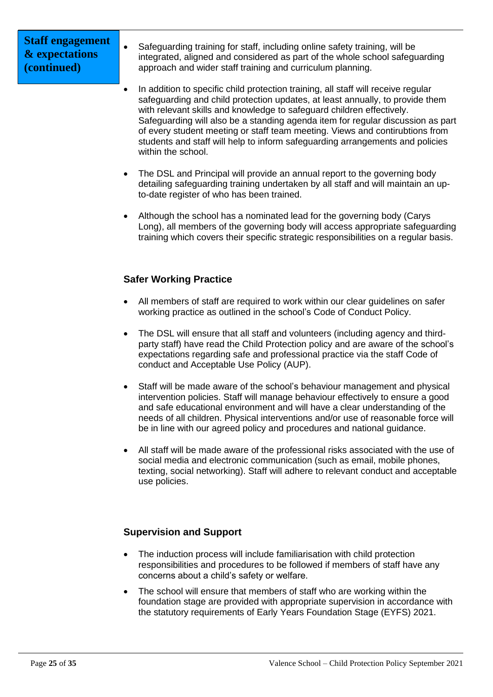# **Staff engagement & expectations (continued)**

- Safeguarding training for staff, including online safety training, will be integrated, aligned and considered as part of the whole school safeguarding approach and wider staff training and curriculum planning.
- In addition to specific child protection training, all staff will receive regular safeguarding and child protection updates, at least annually, to provide them with relevant skills and knowledge to safeguard children effectively. Safeguarding will also be a standing agenda item for regular discussion as part of every student meeting or staff team meeting. Views and contirubtions from students and staff will help to inform safeguarding arrangements and policies within the school.
- The DSL and Principal will provide an annual report to the governing body detailing safeguarding training undertaken by all staff and will maintain an upto-date register of who has been trained.
- Although the school has a nominated lead for the governing body (Carys Long), all members of the governing body will access appropriate safeguarding training which covers their specific strategic responsibilities on a regular basis.

# **Safer Working Practice**

- All members of staff are required to work within our clear guidelines on safer working practice as outlined in the school's Code of Conduct Policy.
- The DSL will ensure that all staff and volunteers (including agency and thirdparty staff) have read the Child Protection policy and are aware of the school's expectations regarding safe and professional practice via the staff Code of conduct and Acceptable Use Policy (AUP).
- Staff will be made aware of the school's behaviour management and physical intervention policies. Staff will manage behaviour effectively to ensure a good and safe educational environment and will have a clear understanding of the needs of all children. Physical interventions and/or use of reasonable force will be in line with our agreed policy and procedures and national guidance.
- All staff will be made aware of the professional risks associated with the use of social media and electronic communication (such as email, mobile phones, texting, social networking). Staff will adhere to relevant conduct and acceptable use policies.

# **Supervision and Support**

- The induction process will include familiarisation with child protection responsibilities and procedures to be followed if members of staff have any concerns about a child's safety or welfare.
- The school will ensure that members of staff who are working within the foundation stage are provided with appropriate supervision in accordance with the statutory requirements of Early Years Foundation Stage (EYFS) 2021.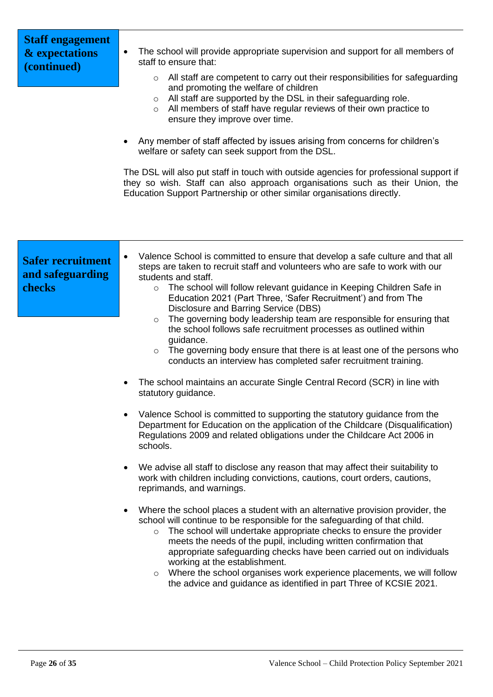| <b>Staff engagement</b><br>& expectations<br>(continued) | The school will provide appropriate supervision and support for all members of<br>٠<br>staff to ensure that:<br>All staff are competent to carry out their responsibilities for safeguarding<br>$\circ$<br>and promoting the welfare of children<br>All staff are supported by the DSL in their safeguarding role.<br>$\circ$<br>All members of staff have regular reviews of their own practice to<br>$\circ$<br>ensure they improve over time.<br>Any member of staff affected by issues arising from concerns for children's<br>welfare or safety can seek support from the DSL.<br>The DSL will also put staff in touch with outside agencies for professional support if<br>they so wish. Staff can also approach organisations such as their Union, the<br>Education Support Partnership or other similar organisations directly.                                                                                                                                                                                                                                                                                                                                                                                                                                                                                                                                                                                                                                                                                                                                                                                                                                                                                                                                                                                                                                              |
|----------------------------------------------------------|--------------------------------------------------------------------------------------------------------------------------------------------------------------------------------------------------------------------------------------------------------------------------------------------------------------------------------------------------------------------------------------------------------------------------------------------------------------------------------------------------------------------------------------------------------------------------------------------------------------------------------------------------------------------------------------------------------------------------------------------------------------------------------------------------------------------------------------------------------------------------------------------------------------------------------------------------------------------------------------------------------------------------------------------------------------------------------------------------------------------------------------------------------------------------------------------------------------------------------------------------------------------------------------------------------------------------------------------------------------------------------------------------------------------------------------------------------------------------------------------------------------------------------------------------------------------------------------------------------------------------------------------------------------------------------------------------------------------------------------------------------------------------------------------------------------------------------------------------------------------------------------|
| <b>Safer recruitment</b><br>and safeguarding<br>checks   | Valence School is committed to ensure that develop a safe culture and that all<br>$\bullet$<br>steps are taken to recruit staff and volunteers who are safe to work with our<br>students and staff.<br>The school will follow relevant guidance in Keeping Children Safe in<br>$\circ$<br>Education 2021 (Part Three, 'Safer Recruitment') and from The<br>Disclosure and Barring Service (DBS)<br>The governing body leadership team are responsible for ensuring that<br>$\circ$<br>the school follows safe recruitment processes as outlined within<br>guidance.<br>The governing body ensure that there is at least one of the persons who<br>$\circ$<br>conducts an interview has completed safer recruitment training.<br>The school maintains an accurate Single Central Record (SCR) in line with<br>statutory guidance.<br>Valence School is committed to supporting the statutory guidance from the<br>Department for Education on the application of the Childcare (Disqualification)<br>Regulations 2009 and related obligations under the Childcare Act 2006 in<br>schools.<br>We advise all staff to disclose any reason that may affect their suitability to<br>work with children including convictions, cautions, court orders, cautions,<br>reprimands, and warnings.<br>Where the school places a student with an alternative provision provider, the<br>$\bullet$<br>school will continue to be responsible for the safeguarding of that child.<br>o The school will undertake appropriate checks to ensure the provider<br>meets the needs of the pupil, including written confirmation that<br>appropriate safeguarding checks have been carried out on individuals<br>working at the establishment.<br>Where the school organises work experience placements, we will follow<br>$\circ$<br>the advice and guidance as identified in part Three of KCSIE 2021. |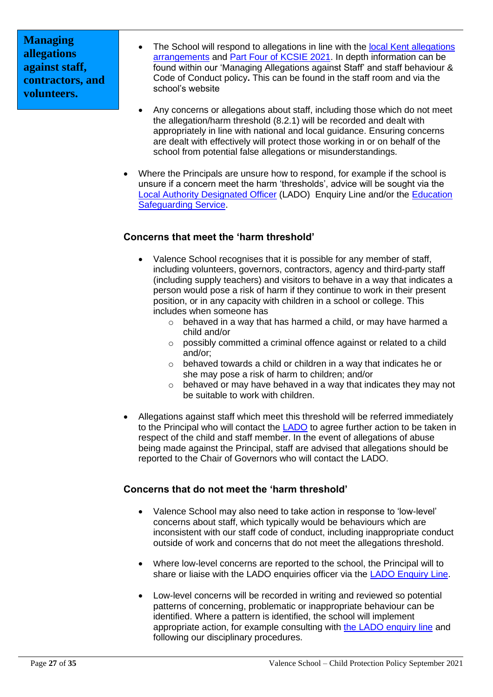**Managing allegations against staff, contractors, and volunteers.**

- The School will respond to allegations in line with the local Kent allegations [arrangements](https://www.kscmp.org.uk/procedures/local-authority-designated-officer-lado) and [Part Four of KCSIE 2021.](https://www.gov.uk/government/publications/keeping-children-safe-in-education--2) In depth information can be found within our 'Managing Allegations against Staff' and staff behaviour & Code of Conduct policy**.** This can be found in the staff room and via the school's website
- Any concerns or allegations about staff, including those which do not meet the allegation/harm threshold (8.2.1) will be recorded and dealt with appropriately in line with national and local guidance. Ensuring concerns are dealt with effectively will protect those working in or on behalf of the school from potential false allegations or misunderstandings.
- Where the Principals are unsure how to respond, for example if the school is unsure if a concern meet the harm 'thresholds', advice will be sought via the [Local Authority Designated Officer](https://www.kscmp.org.uk/procedures/local-authority-designated-officer-lado) (LADO) Enquiry Line and/or the [Education](https://www.theeducationpeople.org/our-expertise/safeguarding/safeguarding-contacts/)  [Safeguarding Service.](https://www.theeducationpeople.org/our-expertise/safeguarding/safeguarding-contacts/)

# **Concerns that meet the 'harm threshold'**

- Valence School recognises that it is possible for any member of staff. including volunteers, governors, contractors, agency and third-party staff (including supply teachers) and visitors to behave in a way that indicates a person would pose a risk of harm if they continue to work in their present position, or in any capacity with children in a school or college. This includes when someone has
	- o behaved in a way that has harmed a child, or may have harmed a child and/or
	- o possibly committed a criminal offence against or related to a child and/or;
	- o behaved towards a child or children in a way that indicates he or she may pose a risk of harm to children; and/or
	- o behaved or may have behaved in a way that indicates they may not be suitable to work with children.
- Allegations against staff which meet this threshold will be referred immediately to the Principal who will contact the [LADO](https://www.kscmp.org.uk/procedures/local-authority-designated-officer-lado) to agree further action to be taken in respect of the child and staff member. In the event of allegations of abuse being made against the Principal, staff are advised that allegations should be reported to the Chair of Governors who will contact the LADO.

# **Concerns that do not meet the 'harm threshold'**

- Valence School may also need to take action in response to 'low-level' concerns about staff, which typically would be behaviours which are inconsistent with our staff code of conduct, including inappropriate conduct outside of work and concerns that do not meet the allegations threshold.
- Where low-level concerns are reported to the school, the Principal will to share or liaise with the LADO enquiries officer via the [LADO Enquiry Line.](https://eur01.safelinks.protection.outlook.com/?url=https%3A%2F%2Fwww.kscmp.org.uk%2Fprocedures%2Flocal-authority-designated-officer-lado&data=04%7C01%7CAlison.Watling%40kent.gov.uk%7Cefd47327a4fa4b3a972708d950d61f12%7C3253a20dc7354bfea8b73e6ab37f5f90%7C0%7C0%7C637629703166084747%7CUnknown%7CTWFpbGZsb3d8eyJWIjoiMC4wLjAwMDAiLCJQIjoiV2luMzIiLCJBTiI6Ik1haWwiLCJXVCI6Mn0%3D%7C1000&sdata=gh4qmYZ5N3khjaixDrEVQntTOJ74wGAlZxO%2FQDEudf0%3D&reserved=0)
- Low-level concerns will be recorded in writing and reviewed so potential patterns of concerning, problematic or inappropriate behaviour can be identified. Where a pattern is identified, the school will implement appropriate action, for example consulting with [the LADO enquiry line](https://www.kscmp.org.uk/procedures/local-authority-designated-officer-lado) and following our disciplinary procedures.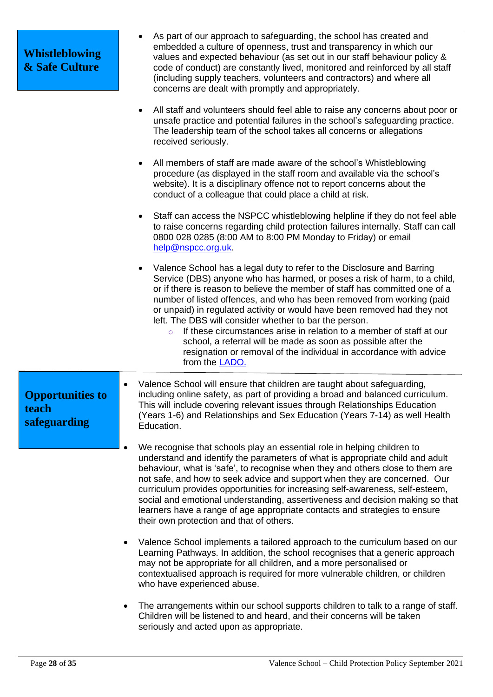| <b>Whistleblowing</b><br><b>&amp; Safe Culture</b> | As part of our approach to safeguarding, the school has created and<br>$\bullet$<br>embedded a culture of openness, trust and transparency in which our<br>values and expected behaviour (as set out in our staff behaviour policy &<br>code of conduct) are constantly lived, monitored and reinforced by all staff<br>(including supply teachers, volunteers and contractors) and where all<br>concerns are dealt with promptly and appropriately.                                                                                                                                                                                                                                                   |
|----------------------------------------------------|--------------------------------------------------------------------------------------------------------------------------------------------------------------------------------------------------------------------------------------------------------------------------------------------------------------------------------------------------------------------------------------------------------------------------------------------------------------------------------------------------------------------------------------------------------------------------------------------------------------------------------------------------------------------------------------------------------|
|                                                    | All staff and volunteers should feel able to raise any concerns about poor or<br>unsafe practice and potential failures in the school's safeguarding practice.<br>The leadership team of the school takes all concerns or allegations<br>received seriously.                                                                                                                                                                                                                                                                                                                                                                                                                                           |
|                                                    | All members of staff are made aware of the school's Whistleblowing<br>procedure (as displayed in the staff room and available via the school's<br>website). It is a disciplinary offence not to report concerns about the<br>conduct of a colleague that could place a child at risk.                                                                                                                                                                                                                                                                                                                                                                                                                  |
|                                                    | Staff can access the NSPCC whistleblowing helpline if they do not feel able<br>to raise concerns regarding child protection failures internally. Staff can call<br>0800 028 0285 (8:00 AM to 8:00 PM Monday to Friday) or email<br>help@nspcc.org.uk.                                                                                                                                                                                                                                                                                                                                                                                                                                                  |
|                                                    | Valence School has a legal duty to refer to the Disclosure and Barring<br>Service (DBS) anyone who has harmed, or poses a risk of harm, to a child,<br>or if there is reason to believe the member of staff has committed one of a<br>number of listed offences, and who has been removed from working (paid<br>or unpaid) in regulated activity or would have been removed had they not<br>left. The DBS will consider whether to bar the person.<br>If these circumstances arise in relation to a member of staff at our<br>$\circ$<br>school, a referral will be made as soon as possible after the<br>resignation or removal of the individual in accordance with advice<br>from the <b>LADO</b> . |
| <b>Opportunities to</b><br>teach<br>safeguarding   | Valence School will ensure that children are taught about safeguarding,<br>including online safety, as part of providing a broad and balanced curriculum.<br>This will include covering relevant issues through Relationships Education<br>(Years 1-6) and Relationships and Sex Education (Years 7-14) as well Health<br>Education.                                                                                                                                                                                                                                                                                                                                                                   |
|                                                    | We recognise that schools play an essential role in helping children to<br>understand and identify the parameters of what is appropriate child and adult<br>behaviour, what is 'safe', to recognise when they and others close to them are<br>not safe, and how to seek advice and support when they are concerned. Our<br>curriculum provides opportunities for increasing self-awareness, self-esteem,<br>social and emotional understanding, assertiveness and decision making so that<br>learners have a range of age appropriate contacts and strategies to ensure<br>their own protection and that of others.                                                                                    |
|                                                    | Valence School implements a tailored approach to the curriculum based on our<br>Learning Pathways. In addition, the school recognises that a generic approach<br>may not be appropriate for all children, and a more personalised or<br>contextualised approach is required for more vulnerable children, or children<br>who have experienced abuse.                                                                                                                                                                                                                                                                                                                                                   |
|                                                    | The arrangements within our school supports children to talk to a range of staff.<br>٠<br>Children will be listened to and heard, and their concerns will be taken<br>seriously and acted upon as appropriate.                                                                                                                                                                                                                                                                                                                                                                                                                                                                                         |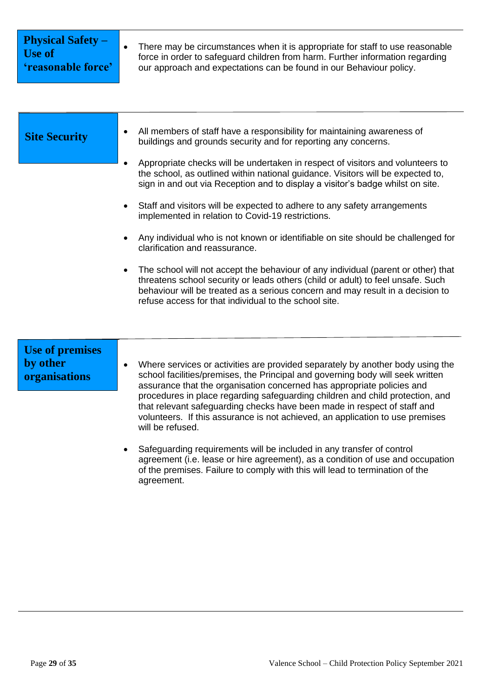| <b>Physical Safety -</b><br><b>Use of</b><br>'reasonable force' | There may be circumstances when it is appropriate for staff to use reasonable<br>force in order to safeguard children from harm. Further information regarding<br>our approach and expectations can be found in our Behaviour policy.                                                                                                                                                                                                                                                                                                                                                                                                                                                                                                                                                                                                                                                                                                                                      |  |
|-----------------------------------------------------------------|----------------------------------------------------------------------------------------------------------------------------------------------------------------------------------------------------------------------------------------------------------------------------------------------------------------------------------------------------------------------------------------------------------------------------------------------------------------------------------------------------------------------------------------------------------------------------------------------------------------------------------------------------------------------------------------------------------------------------------------------------------------------------------------------------------------------------------------------------------------------------------------------------------------------------------------------------------------------------|--|
| <b>Site Security</b>                                            | All members of staff have a responsibility for maintaining awareness of<br>buildings and grounds security and for reporting any concerns.<br>Appropriate checks will be undertaken in respect of visitors and volunteers to<br>the school, as outlined within national guidance. Visitors will be expected to,<br>sign in and out via Reception and to display a visitor's badge whilst on site.<br>Staff and visitors will be expected to adhere to any safety arrangements<br>implemented in relation to Covid-19 restrictions.<br>Any individual who is not known or identifiable on site should be challenged for<br>clarification and reassurance.<br>The school will not accept the behaviour of any individual (parent or other) that<br>threatens school security or leads others (child or adult) to feel unsafe. Such<br>behaviour will be treated as a serious concern and may result in a decision to<br>refuse access for that individual to the school site. |  |
| <b>Use of premises</b><br>by other<br>organisations             | Where services or activities are provided separately by another body using the<br>school facilities/premises, the Principal and governing body will seek written<br>assurance that the organisation concerned has appropriate policies and<br>procedures in place regarding safeguarding children and child protection, and<br>that relevant safeguarding checks have been made in respect of staff and<br>volunteers. If this assurance is not achieved, an application to use premises<br>will be refused.<br>Safequiarding requirements will be included in any transfer of control                                                                                                                                                                                                                                                                                                                                                                                     |  |

• Safeguarding requirements will be included in any transfer of control agreement (i.e. lease or hire agreement), as a condition of use and occupation of the premises. Failure to comply with this will lead to termination of the agreement.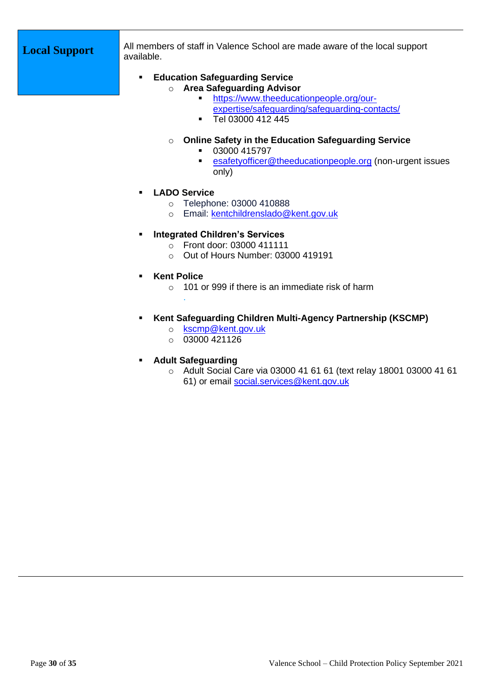**Local Support** All members of staff in Valence School are made aware of the local support available.

- **Education Safeguarding Service**  o **Area Safeguarding Advisor** 
	- **Intips://www.theeducationpeople.org/our**[expertise/safeguarding/safeguarding-contacts/](https://www.theeducationpeople.org/our-expertise/safeguarding/safeguarding-contacts/)
	- Tel 03000 412 445
	- o **Online Safety in the Education Safeguarding Service**
		- 03000 415797
		- **Esafetyofficer@theeducationpeople.org** (non-urgent issues only)
- **LADO Service**
	- o Telephone: 03000 410888
	- o Email: [kentchildrenslado@kent.gov.uk](mailto:kentchildrenslado@kent.gov.uk)
- **Integrated Children's Services** 
	- o Front door: 03000 411111
	- o Out of Hours Number: 03000 419191
- **Kent Police** 
	- $\circ$  101 or 999 if there is an immediate risk of harm
- **Kent Safeguarding Children Multi-Agency Partnership (KSCMP)** 
	- o [kscmp@kent.gov.uk](mailto:kscmp@kent.gov.uk)
	- $O$  03000 421126
- **Adult Safeguarding**

.

o Adult Social Care via 03000 41 61 61 (text relay 18001 03000 41 61 61) or email [social.services@kent.gov.uk](mailto:social.services@kent.gov.uk)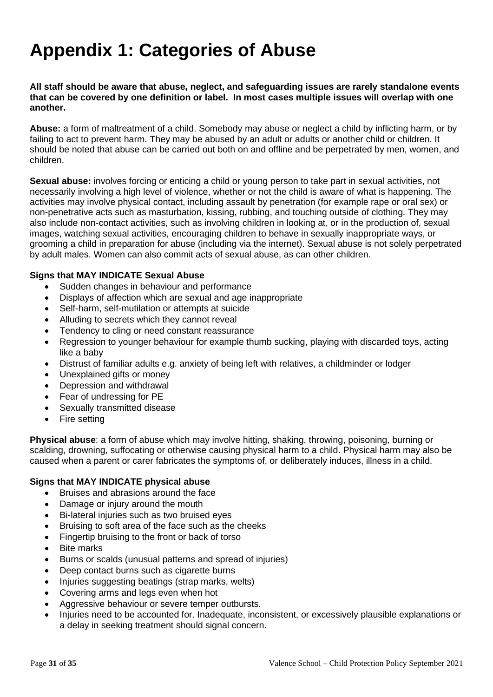# **Appendix 1: Categories of Abuse**

**All staff should be aware that abuse, neglect, and safeguarding issues are rarely standalone events that can be covered by one definition or label. In most cases multiple issues will overlap with one another.**

**Abuse:** a form of maltreatment of a child. Somebody may abuse or neglect a child by inflicting harm, or by failing to act to prevent harm. They may be abused by an adult or adults or another child or children. It should be noted that abuse can be carried out both on and offline and be perpetrated by men, women, and children.

**Sexual abuse:** involves forcing or enticing a child or young person to take part in sexual activities, not necessarily involving a high level of violence, whether or not the child is aware of what is happening. The activities may involve physical contact, including assault by penetration (for example rape or oral sex) or non-penetrative acts such as masturbation, kissing, rubbing, and touching outside of clothing. They may also include non-contact activities, such as involving children in looking at, or in the production of, sexual images, watching sexual activities, encouraging children to behave in sexually inappropriate ways, or grooming a child in preparation for abuse (including via the internet). Sexual abuse is not solely perpetrated by adult males. Women can also commit acts of sexual abuse, as can other children.

### **Signs that MAY INDICATE Sexual Abuse**

- Sudden changes in behaviour and performance
- Displays of affection which are sexual and age inappropriate
- Self-harm, self-mutilation or attempts at suicide
- Alluding to secrets which they cannot reveal
- Tendency to cling or need constant reassurance
- Regression to younger behaviour for example thumb sucking, playing with discarded toys, acting like a baby
- Distrust of familiar adults e.g. anxiety of being left with relatives, a childminder or lodger
- Unexplained gifts or money
- Depression and withdrawal
- Fear of undressing for PE
- Sexually transmitted disease
- Fire setting

**Physical abuse**: a form of abuse which may involve hitting, shaking, throwing, poisoning, burning or scalding, drowning, suffocating or otherwise causing physical harm to a child. Physical harm may also be caused when a parent or carer fabricates the symptoms of, or deliberately induces, illness in a child.

### **Signs that MAY INDICATE physical abuse**

- Bruises and abrasions around the face
- Damage or injury around the mouth
- Bi-lateral injuries such as two bruised eyes
- Bruising to soft area of the face such as the cheeks
- Fingertip bruising to the front or back of torso
- **Bite marks**
- Burns or scalds (unusual patterns and spread of injuries)
- Deep contact burns such as cigarette burns
- Injuries suggesting beatings (strap marks, welts)
- Covering arms and legs even when hot
- Aggressive behaviour or severe temper outbursts.
- Injuries need to be accounted for. Inadequate, inconsistent, or excessively plausible explanations or a delay in seeking treatment should signal concern.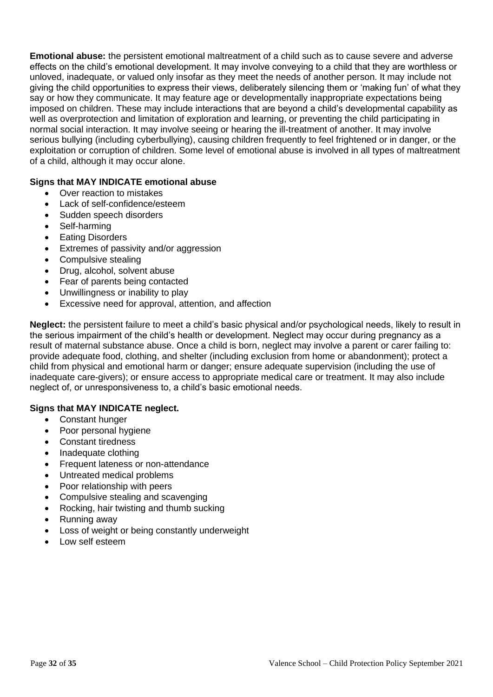**Emotional abuse:** the persistent emotional maltreatment of a child such as to cause severe and adverse effects on the child's emotional development. It may involve conveying to a child that they are worthless or unloved, inadequate, or valued only insofar as they meet the needs of another person. It may include not giving the child opportunities to express their views, deliberately silencing them or 'making fun' of what they say or how they communicate. It may feature age or developmentally inappropriate expectations being imposed on children. These may include interactions that are beyond a child's developmental capability as well as overprotection and limitation of exploration and learning, or preventing the child participating in normal social interaction. It may involve seeing or hearing the ill-treatment of another. It may involve serious bullying (including cyberbullying), causing children frequently to feel frightened or in danger, or the exploitation or corruption of children. Some level of emotional abuse is involved in all types of maltreatment of a child, although it may occur alone.

## **Signs that MAY INDICATE emotional abuse**

- Over reaction to mistakes
- Lack of self-confidence/esteem
- Sudden speech disorders
- Self-harming
- Eating Disorders
- Extremes of passivity and/or aggression
- Compulsive stealing
- Drug, alcohol, solvent abuse
- Fear of parents being contacted
- Unwillingness or inability to play
- Excessive need for approval, attention, and affection

**Neglect:** the persistent failure to meet a child's basic physical and/or psychological needs, likely to result in the serious impairment of the child's health or development. Neglect may occur during pregnancy as a result of maternal substance abuse. Once a child is born, neglect may involve a parent or carer failing to: provide adequate food, clothing, and shelter (including exclusion from home or abandonment); protect a child from physical and emotional harm or danger; ensure adequate supervision (including the use of inadequate care-givers); or ensure access to appropriate medical care or treatment. It may also include neglect of, or unresponsiveness to, a child's basic emotional needs.

### **Signs that MAY INDICATE neglect.**

- Constant hunger
- Poor personal hygiene
- Constant tiredness
- Inadequate clothing
- Frequent lateness or non-attendance
- Untreated medical problems
- Poor relationship with peers
- Compulsive stealing and scavenging
- Rocking, hair twisting and thumb sucking
- Running away
- Loss of weight or being constantly underweight
- Low self esteem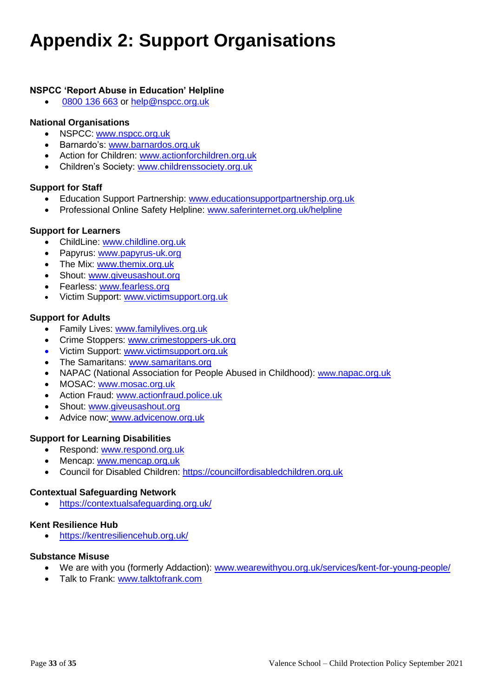# **Appendix 2: Support Organisations**

## **NSPCC 'Report Abuse in Education' Helpline**

• [0800 136 663](tel:0800%20136%20663) or [help@nspcc.org.uk](mailto:help@nspcc.org.uk)

### **National Organisations**

- NSPCC: [www.nspcc.org.uk](http://www.nspcc.org.uk/)
- Barnardo's: [www.barnardos.org.uk](http://www.barnardos.org.uk/)
- Action for Children: [www.actionforchildren.org.uk](http://www.actionforchildren.org.uk/)
- Children's Society: [www.childrenssociety.org.uk](http://www.childrenssociety.org.uk/)

### **Support for Staff**

- Education Support Partnership: [www.educationsupportpartnership.org.uk](http://www.educationsupportpartnership.org.uk/)
- Professional Online Safety Helpline: [www.saferinternet.org.uk/helpline](http://www.saferinternet.org.uk/helpline)

### **Support for Learners**

- ChildLine: [www.childline.org.uk](http://www.childline.org.uk/)
- Papyrus: [www.papyrus-uk.org](http://www.papyrus-uk.org/)
- The Mix: [www.themix.org.uk](http://www.themix.org.uk/)
- Shout: [www.giveusashout.org](http://www.giveusashout.org/)
- Fearless: [www.fearless.org](http://www.fearless.org/)
- Victim Support: [www.victimsupport.org.uk](http://www.victimsupport.org.uk/)

### **Support for Adults**

- Family Lives: [www.familylives.org.uk](http://www.familylives.org.uk/)
- Crime Stoppers: [www.crimestoppers-uk.org](http://www.crimestoppers-uk.org/)
- Victim Support: [www.victimsupport.org.uk](http://www.victimsupport.org.uk/)
- The Samaritans: [www.samaritans.org](http://www.samaritans.org/)
- NAPAC (National Association for People Abused in Childhood): www.napac.org.uk
- MOSAC: [www.mosac.org.uk](http://www.mosac.org.uk/)
- Action Fraud: [www.actionfraud.police.uk](http://www.actionfraud.police.uk/)
- Shout: [www.giveusashout.org](http://www.giveusashout.org/)
- Advice now: www.advicenow.org.uk

### **Support for Learning Disabilities**

- Respond: [www.respond.org.uk](http://www.respond.org.uk/)
- Mencap: [www.mencap.org.uk](http://www.mencap.org.uk/)
- Council for Disabled Children: [https://councilfordisabledchildren.org.uk](https://councilfordisabledchildren.org.uk/)

### **Contextual Safeguarding Network**

• <https://contextualsafeguarding.org.uk/>

### **Kent Resilience Hub**

• <https://kentresiliencehub.org.uk/>

### **Substance Misuse**

- We are with you (formerly Addaction): [www.wearewithyou.org.uk/services/kent-for-young-people/](http://www.wearewithyou.org.uk/services/kent-for-young-people/)
- Talk to Frank: [www.talktofrank.com](http://www.talktofrank.com/)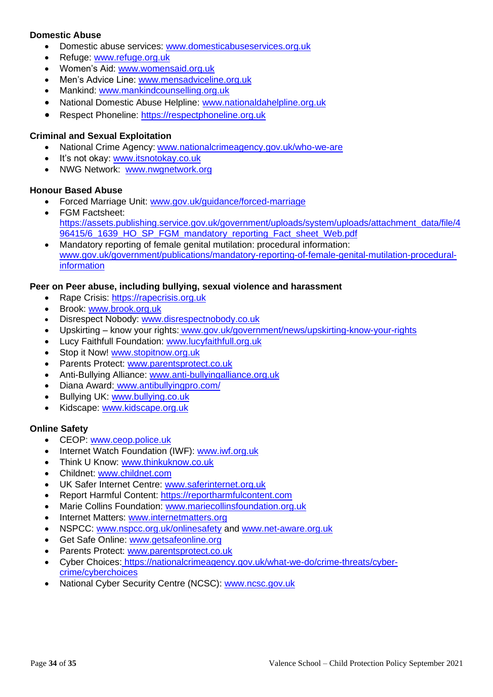## **Domestic Abuse**

- Domestic abuse services: [www.domesticabuseservices.org.uk](http://www.domesticabuseservices.org.uk/)
- Refuge: [www.refuge.org.uk](http://www.refuge.org.uk/)
- Women's Aid: [www.womensaid.org.uk](http://www.womensaid.org.uk/)
- Men's Advice Line: [www.mensadviceline.org.uk](http://www.mensadviceline.org.uk/)
- Mankind: [www.mankindcounselling.org.uk](http://www.mankindcounselling.org.uk/)
- National Domestic Abuse Helpline: [www.nationaldahelpline.org.uk](http://www.nationaldahelpline.org.uk/)
- Respect Phoneline: [https://respectphoneline.org.uk](https://respectphoneline.org.uk/)

## **Criminal and Sexual Exploitation**

- National Crime Agency: [www.nationalcrimeagency.gov.uk/who-we-are](http://www.nationalcrimeagency.gov.uk/who-we-are)
- It's not okay: [www.itsnotokay.co.uk](http://www.itsnotokay.co.uk/)
- NWG Network: [www.nwgnetwork.org](http://www.nwgnetwork.org/)

### **Honour Based Abuse**

- Forced Marriage Unit: [www.gov.uk/guidance/forced-marriage](http://www.gov.uk/guidance/forced-marriage)
- FGM Factsheet: [https://assets.publishing.service.gov.uk/government/uploads/system/uploads/attachment\\_data/file/4](https://assets.publishing.service.gov.uk/government/uploads/system/uploads/attachment_data/file/496415/6_1639_HO_SP_FGM_mandatory_reporting_Fact_sheet_Web.pdf) [96415/6\\_1639\\_HO\\_SP\\_FGM\\_mandatory\\_reporting\\_Fact\\_sheet\\_Web.pdf](https://assets.publishing.service.gov.uk/government/uploads/system/uploads/attachment_data/file/496415/6_1639_HO_SP_FGM_mandatory_reporting_Fact_sheet_Web.pdf)
- Mandatory reporting of female genital mutilation: procedural information: [www.gov.uk/government/publications/mandatory-reporting-of-female-genital-mutilation-procedural](http://www.gov.uk/government/publications/mandatory-reporting-of-female-genital-mutilation-procedural-information)[information](http://www.gov.uk/government/publications/mandatory-reporting-of-female-genital-mutilation-procedural-information)

### **Peer on Peer abuse, including bullying, sexual violence and harassment**

- Rape Crisis: [https://rapecrisis.org.uk](https://rapecrisis.org.uk/)
- Brook: [www.brook.org.uk](http://www.brook.org.uk/)
- Disrespect Nobody: [www.disrespectnobody.co.uk](http://www.disrespectnobody.co.uk/)
- Upskirting know your rights: [www.gov.uk/government/news/upskirting-know-your-rights](http://www.gov.uk/government/news/upskirting-know-your-rights)
- Lucy Faithfull Foundation: [www.lucyfaithfull.org.uk](http://www.lucyfaithfull.org.uk/)
- Stop it Now! [www.stopitnow.org.uk](http://www.stopitnow.org.uk/)
- Parents Protect: [www.parentsprotect.co.uk](http://www.parentsprotect.co.uk/)
- Anti-Bullying Alliance: [www.anti-bullyingalliance.org.uk](http://www.anti-bullyingalliance.org.uk/)
- Diana Award: [www.antibullyingpro.com/](http://www.antibullyingpro.com/)
- Bullying UK: [www.bullying.co.uk](http://www.bullying.co.uk/)
- Kidscape: [www.kidscape.org.uk](http://www.kidscape.org.uk/)

# **Online Safety**

- CEOP: [www.ceop.police.uk](http://www.ceop.police.uk/)
- Internet Watch Foundation (IWF): [www.iwf.org.uk](http://www.iwf.org.uk/)
- Think U Know: [www.thinkuknow.co.uk](http://www.thinkuknow.co.uk/)
- Childnet: [www.childnet.com](http://www.childnet.com/)
- UK Safer Internet Centre: [www.saferinternet.org.uk](http://www.saferinternet.org.uk/)
- Report Harmful Content: [https://reportharmfulcontent.com](https://reportharmfulcontent.com/)
- Marie Collins Foundation: [www.mariecollinsfoundation.org.uk](http://www.mariecollinsfoundation.org.uk/)
- Internet Matters: [www.internetmatters.org](http://www.internetmatters.org/)
- NSPCC: [www.nspcc.org.uk/onlinesafety](http://www.nspcc.org.uk/onlinesafety) and [www.net-aware.org.uk](http://www.net-aware.org.uk/)
- Get Safe Online: [www.getsafeonline.org](https://www.getsafeonline.org/)
- Parents Protect: [www.parentsprotect.co.uk](http://www.parentsprotect.co.uk/)
- Cyber Choices: [https://nationalcrimeagency.gov.uk/what-we-do/crime-threats/cyber](https://nationalcrimeagency.gov.uk/what-we-do/crime-threats/cyber-crime/cyberchoices)[crime/cyberchoices](https://nationalcrimeagency.gov.uk/what-we-do/crime-threats/cyber-crime/cyberchoices)
- National Cyber Security Centre (NCSC): [www.ncsc.gov.uk](http://www.ncsc.gov.uk/)